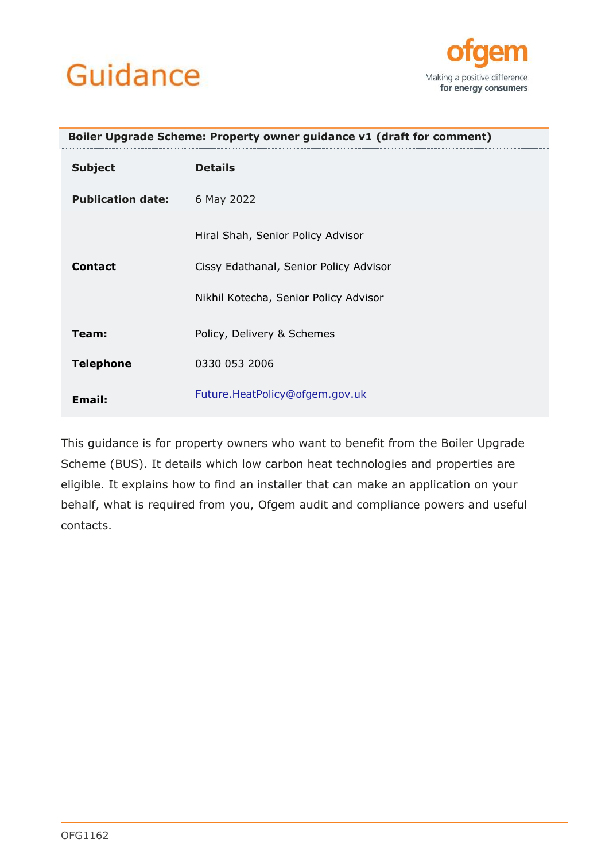# Guidance



<span id="page-0-0"></span>

| Boiler Upgrade Scheme: Property owner guidance v1 (draft for comment) |                                                                             |  |
|-----------------------------------------------------------------------|-----------------------------------------------------------------------------|--|
| <b>Subject</b>                                                        | <b>Details</b>                                                              |  |
| <b>Publication date:</b>                                              | 6 May 2022                                                                  |  |
| <b>Contact</b>                                                        | Hiral Shah, Senior Policy Advisor<br>Cissy Edathanal, Senior Policy Advisor |  |
|                                                                       | Nikhil Kotecha, Senior Policy Advisor                                       |  |
| Team:                                                                 | Policy, Delivery & Schemes                                                  |  |
| <b>Telephone</b>                                                      | 0330 053 2006                                                               |  |
| Email:                                                                | Future.HeatPolicy@ofgem.gov.uk                                              |  |

This guidance is for property owners who want to benefit from the Boiler Upgrade Scheme (BUS). It details which low carbon heat technologies and properties are eligible. It explains how to find an installer that can make an application on your behalf, what is required from you, Ofgem audit and compliance powers and useful contacts.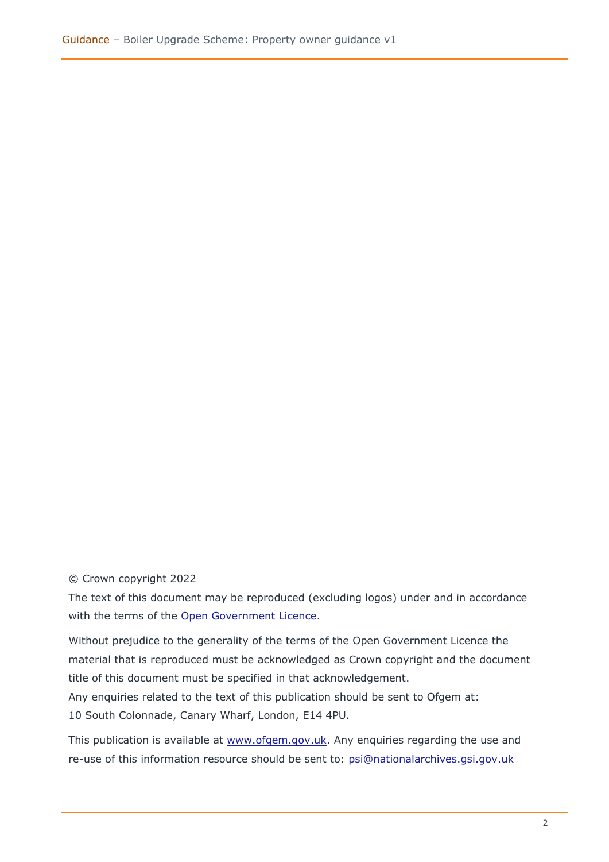#### © Crown copyright 2022

The text of this document may be reproduced (excluding logos) under and in accordance with the terms of the [Open Government Licence.](http://www.nationalarchives.gov.uk/doc/open-government-licence/version/3/)

Without prejudice to the generality of the terms of the Open Government Licence the material that is reproduced must be acknowledged as Crown copyright and the document title of this document must be specified in that acknowledgement.

Any enquiries related to the text of this publication should be sent to Ofgem at: 10 South Colonnade, Canary Wharf, London, E14 4PU.

This publication is available at [www.ofgem.gov.uk.](http://www.ofgem.gov.uk/) Any enquiries regarding the use and re-use of this information resource should be sent to: [psi@nationalarchives.gsi.gov.uk](mailto:psi@nationalarchives.gsi.gov.uk)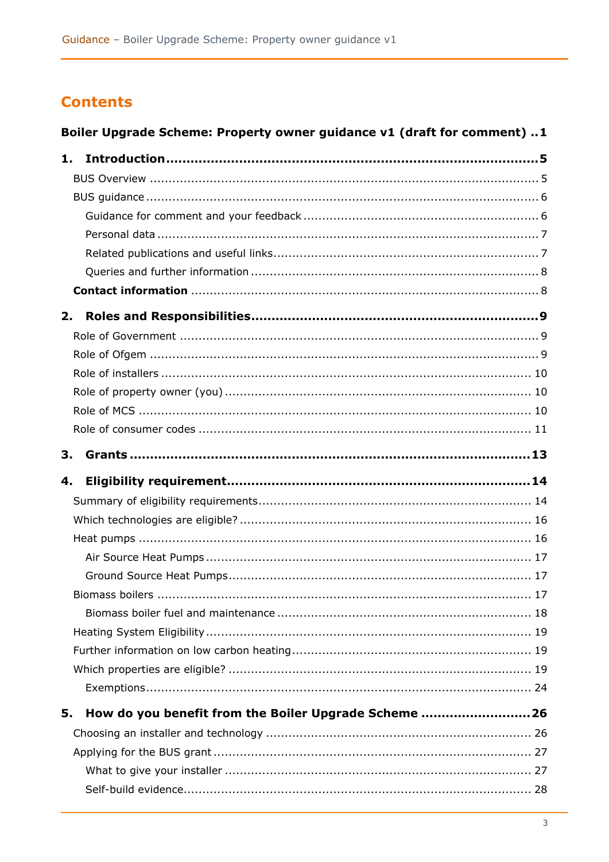# **Contents**

# Boiler Upgrade Scheme: Property owner guidance v1 (draft for comment) ..1

| 1. |                                                      |  |
|----|------------------------------------------------------|--|
|    |                                                      |  |
|    |                                                      |  |
|    |                                                      |  |
|    |                                                      |  |
|    |                                                      |  |
|    |                                                      |  |
|    |                                                      |  |
|    |                                                      |  |
| 2. |                                                      |  |
|    |                                                      |  |
|    |                                                      |  |
|    |                                                      |  |
|    |                                                      |  |
|    |                                                      |  |
|    |                                                      |  |
| 3. |                                                      |  |
|    |                                                      |  |
|    |                                                      |  |
| 4. |                                                      |  |
|    |                                                      |  |
|    |                                                      |  |
|    |                                                      |  |
|    |                                                      |  |
|    |                                                      |  |
|    |                                                      |  |
|    |                                                      |  |
|    |                                                      |  |
|    |                                                      |  |
|    |                                                      |  |
|    |                                                      |  |
| 5. | How do you benefit from the Boiler Upgrade Scheme 26 |  |
|    |                                                      |  |
|    |                                                      |  |
|    |                                                      |  |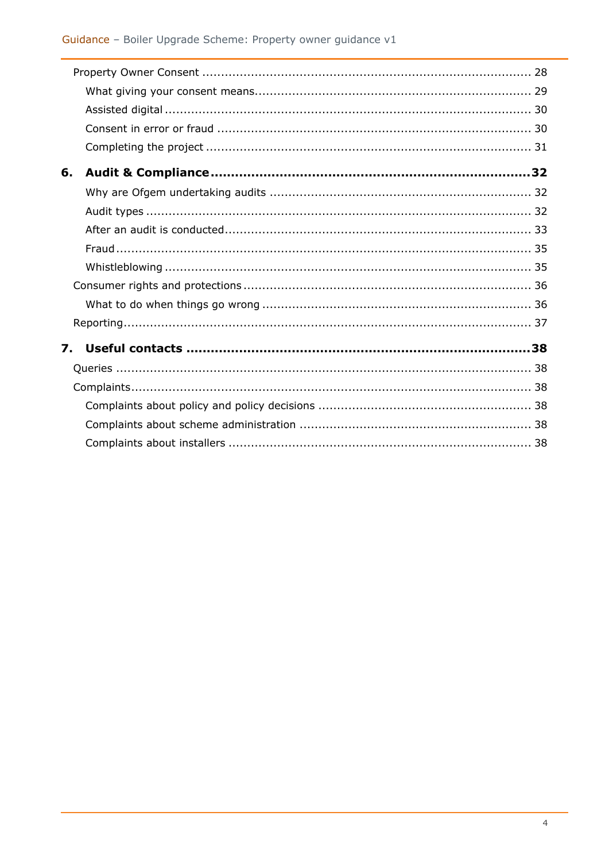| 6. |  |
|----|--|
|    |  |
|    |  |
|    |  |
|    |  |
|    |  |
|    |  |
|    |  |
|    |  |
| 7. |  |
|    |  |
|    |  |
|    |  |
|    |  |
|    |  |
|    |  |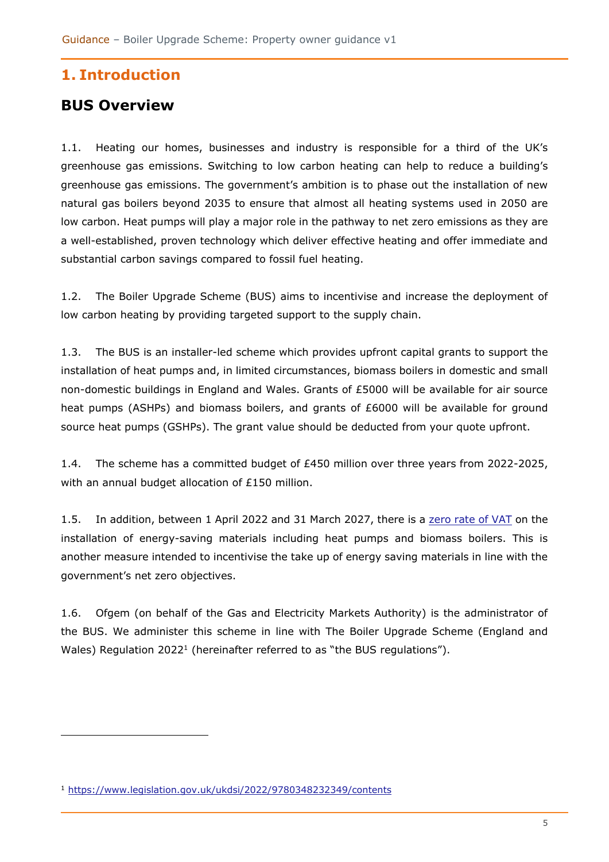# <span id="page-4-0"></span>**1. Introduction**

# <span id="page-4-1"></span>**BUS Overview**

1.1. Heating our homes, businesses and industry is responsible for a third of the UK's greenhouse gas emissions. Switching to low carbon heating can help to reduce a building's greenhouse gas emissions. The government's ambition is to phase out the installation of new natural gas boilers beyond 2035 to ensure that almost all heating systems used in 2050 are low carbon. Heat pumps will play a major role in the pathway to net zero emissions as they are a well-established, proven technology which deliver effective heating and offer immediate and substantial carbon savings compared to fossil fuel heating.

1.2. The Boiler Upgrade Scheme (BUS) aims to incentivise and increase the deployment of low carbon heating by providing targeted support to the supply chain.

1.3. The BUS is an installer-led scheme which provides upfront capital grants to support the installation of heat pumps and, in limited circumstances, biomass boilers in domestic and small non-domestic buildings in England and Wales. Grants of £5000 will be available for air source heat pumps (ASHPs) and biomass boilers, and grants of £6000 will be available for ground source heat pumps (GSHPs). The grant value should be deducted from your quote upfront.

1.4. The scheme has a committed budget of £450 million over three years from 2022-2025, with an annual budget allocation of £150 million.

1.5. In addition, between 1 April 2022 and 31 March 2027, there is a [zero rate of VAT](https://www.gov.uk/government/publications/changes-to-the-vat-treatment-of-the-installation-of-energy-saving-materials-in-in-great-britain/the-value-added-tax-installation-of-energy-saving-materials-order-2022) on the installation of energy-saving materials including heat pumps and biomass boilers. This is another measure intended to incentivise the take up of energy saving materials in line with the government's net zero objectives.

<span id="page-4-2"></span>1.6. Ofgem (on behalf of the Gas and Electricity Markets Authority) is the administrator of the BUS. We administer this scheme in line with The Boiler Upgrade Scheme (England and Wales) Regulation 2022<sup>1</sup> (hereinafter referred to as "the BUS regulations").

<sup>1</sup> <https://www.legislation.gov.uk/ukdsi/2022/9780348232349/contents>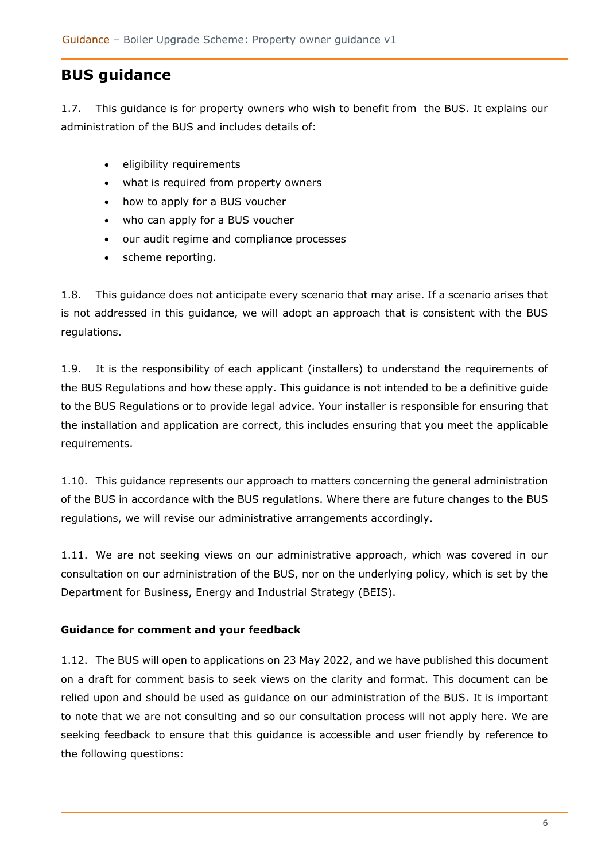# **BUS guidance**

1.7. This guidance is for property owners who wish to benefit from the BUS. It explains our administration of the BUS and includes details of:

- eligibility requirements
- what is required from property owners
- how to apply for a BUS voucher
- who can apply for a BUS voucher
- our audit regime and compliance processes
- scheme reporting.

1.8. This guidance does not anticipate every scenario that may arise. If a scenario arises that is not addressed in this guidance, we will adopt an approach that is consistent with the BUS regulations.

1.9. It is the responsibility of each applicant (installers) to understand the requirements of the BUS Regulations and how these apply. This guidance is not intended to be a definitive guide to the BUS Regulations or to provide legal advice. Your installer is responsible for ensuring that the installation and application are correct, this includes ensuring that you meet the applicable requirements.

1.10. This guidance represents our approach to matters concerning the general administration of the BUS in accordance with the BUS regulations. Where there are future changes to the BUS regulations, we will revise our administrative arrangements accordingly.

1.11. We are not seeking views on our administrative approach, which was covered in our [consultation on our administration of the BUS,](https://www.ofgem.gov.uk/publications/consultation-ofgems-administration-boiler-upgrade-scheme) nor on the underlying policy, which is set by the Department for Business, Energy and Industrial Strategy (BEIS).

### <span id="page-5-0"></span>**Guidance for comment and your feedback**

1.12. The BUS will open to applications on 23 May 2022, and we have published this document on a draft for comment basis to seek views on the clarity and format. This document can be relied upon and should be used as guidance on our administration of the BUS. It is important to note that we are not consulting and so our consultation process will not apply here. We are seeking feedback to ensure that this guidance is accessible and user friendly by reference to the following questions: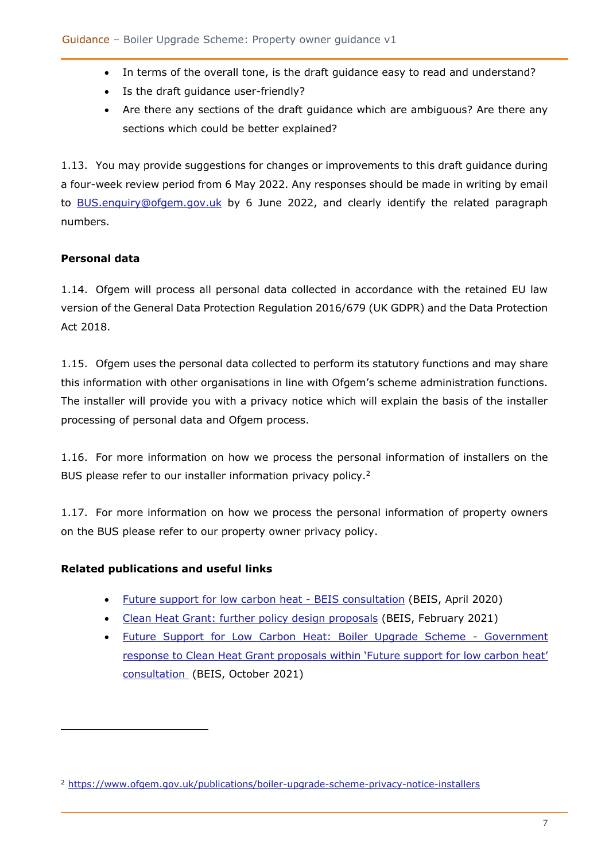- In terms of the overall tone, is the draft guidance easy to read and understand?
- Is the draft guidance user-friendly?
- Are there any sections of the draft guidance which are ambiguous? Are there any sections which could be better explained?

1.13. You may provide suggestions for changes or improvements to this draft guidance during a four-week review period from 6 May 2022. Any responses should be made in writing by email to [BUS.enquiry@ofgem.gov.uk](mailto:BUS.enquiry@ofgem.gov.uk) by 6 June 2022, and clearly identify the related paragraph numbers.

### <span id="page-6-0"></span>**Personal data**

1.14. Ofgem will process all personal data collected in accordance with the retained EU law version of the General Data Protection Regulation 2016/679 (UK GDPR) and the Data Protection Act 2018.

1.15. Ofgem uses the personal data collected to perform its statutory functions and may share this information with other organisations in line with Ofgem's scheme administration functions. The installer will provide you with a privacy notice which will explain the basis of the installer processing of personal data and Ofgem process.

1.16. For more information on how we process the personal information of installers on the BUS please refer to our installer information privacy policy.<sup>2</sup>

1.17. For more information on how we process the personal information of property owners on the BUS please refer to our property owner privacy policy.

### <span id="page-6-1"></span>**Related publications and useful links**

- [Future support for low carbon heat -](https://assets.publishing.service.gov.uk/government/uploads/system/uploads/attachment_data/file/888736/future-support-for-low-carbon-heat-consultation.pdf) BEIS consultation (BEIS, April 2020)
- [Clean Heat Grant: further policy design proposals](https://www.gov.uk/government/consultations/clean-heat-grant-further-policy-design-proposals) (BEIS, February 2021)
- [Future Support for Low Carbon Heat: Boiler Upgrade Scheme -](https://assets.publishing.service.gov.uk/government/uploads/system/uploads/attachment_data/file/1026446/clean-heat-grant-government-response.pdf) Government response to Clean Heat Gra[nt proposals within 'Future support for low carbon heat'](https://assets.publishing.service.gov.uk/government/uploads/system/uploads/attachment_data/file/1026446/clean-heat-grant-government-response.pdf)  [consultation](https://assets.publishing.service.gov.uk/government/uploads/system/uploads/attachment_data/file/1026446/clean-heat-grant-government-response.pdf) (BEIS, October 2021)

<sup>2</sup> <https://www.ofgem.gov.uk/publications/boiler-upgrade-scheme-privacy-notice-installers>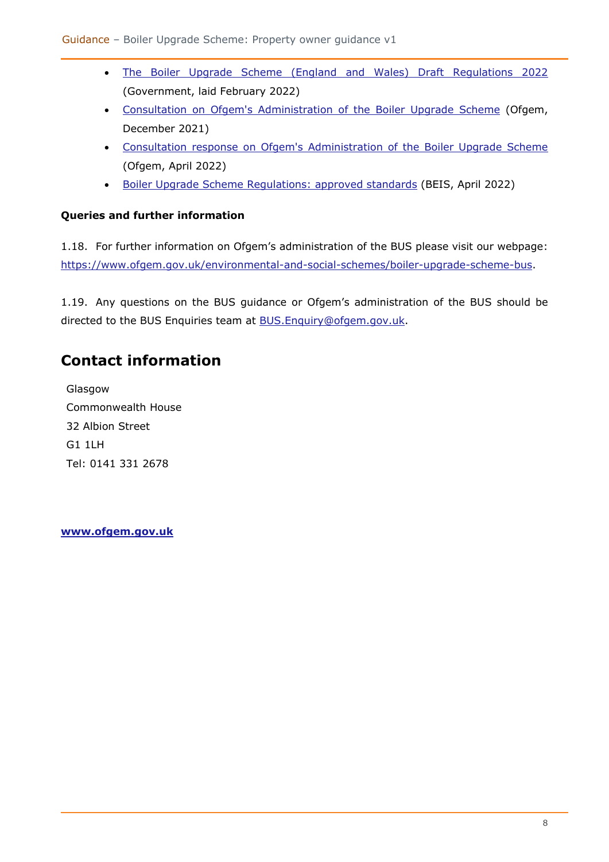- [The Boiler Upgrade Scheme \(England and Wales\) Draft Regulations 2022](https://www.legislation.gov.uk/ukdsi/2022/9780348232349) (Government, laid February 2022)
- [Consultation on Ofgem's Administration of the Boiler Upgrade](https://www.ofgem.gov.uk/sites/default/files/2021-12/Administration%20of%20the%20Boiler%20Upgrade%20Scheme%20-%20Ofgemconsultation.pdf) Scheme (Ofgem, December 2021)
- [Consultation response on Ofgem's Administration of the Boiler Upgrade Scheme](https://www.ofgem.gov.uk/sites/default/files/2022-04/Administration%20of%20the%20BUS%20decision%20-final_0.pdf) (Ofgem, April 2022)
- [Boiler Upgrade Scheme Regulations: approved standards](https://www.gov.uk/government/publications/boiler-upgrade-scheme-regulations-approved-standards) (BEIS, April 2022)

### <span id="page-7-0"></span>**Queries and further information**

1.18. For further information on Ofgem's administration of the BUS please visit our webpage: [https://www.ofgem.gov.uk/environmental-and-social-schemes/boiler-upgrade-scheme-bus.](https://www.ofgem.gov.uk/environmental-and-social-schemes/boiler-upgrade-scheme-bus)

1.19. Any questions on the BUS guidance or Ofgem's administration of the BUS should be directed to the BUS Enquiries team at **BUS.Enquiry@ofgem.gov.uk.** 

# <span id="page-7-1"></span>**Contact information**

Glasgow Commonwealth House 32 Albion Street G1 1LH Tel: 0141 331 2678

**[www.ofgem.gov.uk](http://www.ofgem.gov.uk/)**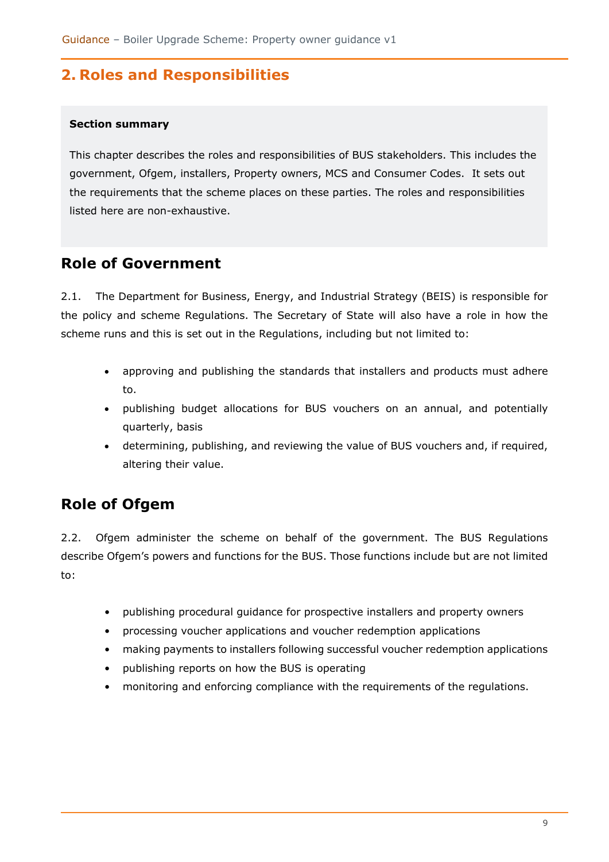# <span id="page-8-0"></span>**2. Roles and Responsibilities**

#### **Section summary**

This chapter describes the roles and responsibilities of BUS stakeholders. This includes the government, Ofgem, installers, Property owners, MCS and Consumer Codes. It sets out the requirements that the scheme places on these parties. The roles and responsibilities listed here are non-exhaustive.

### <span id="page-8-1"></span>**Role of Government**

2.1. The Department for Business, Energy, and Industrial Strategy (BEIS) is responsible for the policy and scheme Regulations. The Secretary of State will also have a role in how the scheme runs and this is set out in the Regulations, including but not limited to:

- approving and publishing the standards that installers and products must adhere to.
- publishing budget allocations for BUS vouchers on an annual, and potentially quarterly, basis
- determining, publishing, and reviewing the value of BUS vouchers and, if required, altering their value.

# <span id="page-8-2"></span>**Role of Ofgem**

2.2. Ofgem administer the scheme on behalf of the government. The BUS Regulations describe Ofgem's powers and functions for the BUS. Those functions include but are not limited to:

- publishing procedural guidance for prospective installers and property owners
- processing voucher applications and voucher redemption applications
- making payments to installers following successful voucher redemption applications
- publishing reports on how the BUS is operating
- monitoring and enforcing compliance with the requirements of the regulations.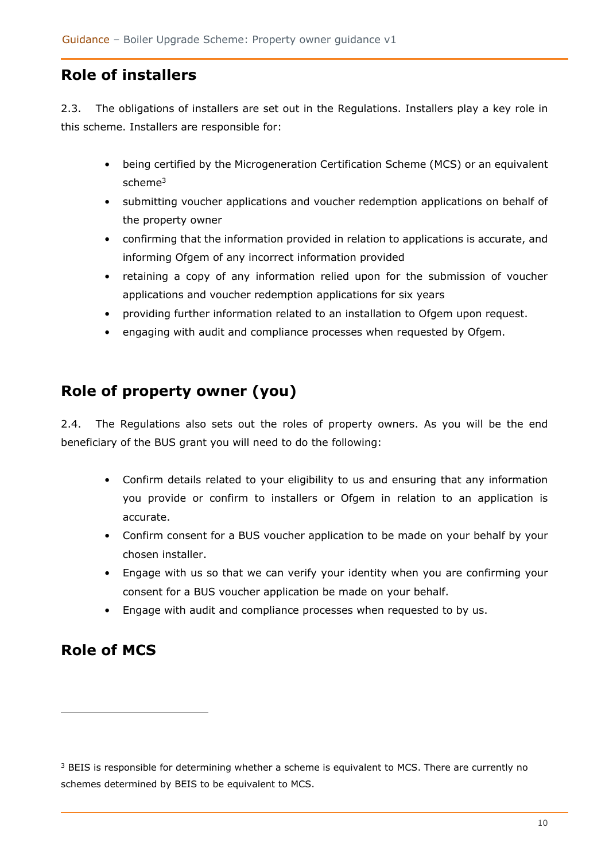# <span id="page-9-0"></span>**Role of installers**

2.3. The obligations of installers are set out in the Regulations. Installers play a key role in this scheme. Installers are responsible for:

- being certified by the Microgeneration Certification Scheme (MCS) or an equivalent scheme<sup>3</sup>
- submitting voucher applications and voucher redemption applications on behalf of the property owner
- confirming that the information provided in relation to applications is accurate, and informing Ofgem of any incorrect information provided
- retaining a copy of any information relied upon for the submission of voucher applications and voucher redemption applications for six years
- providing further information related to an installation to Ofgem upon request.
- engaging with audit and compliance processes when requested by Ofgem.

# <span id="page-9-1"></span>**Role of property owner (you)**

2.4. The Regulations also sets out the roles of property owners. As you will be the end beneficiary of the BUS grant you will need to do the following:

- Confirm details related to your eligibility to us and ensuring that any information you provide or confirm to installers or Ofgem in relation to an application is accurate.
- Confirm consent for a BUS voucher application to be made on your behalf by your chosen installer.
- Engage with us so that we can verify your identity when you are confirming your consent for a BUS voucher application be made on your behalf.
- Engage with audit and compliance processes when requested to by us.

# <span id="page-9-2"></span>**Role of MCS**

<sup>&</sup>lt;sup>3</sup> BEIS is responsible for determining whether a scheme is equivalent to MCS. There are currently no schemes determined by BEIS to be equivalent to MCS.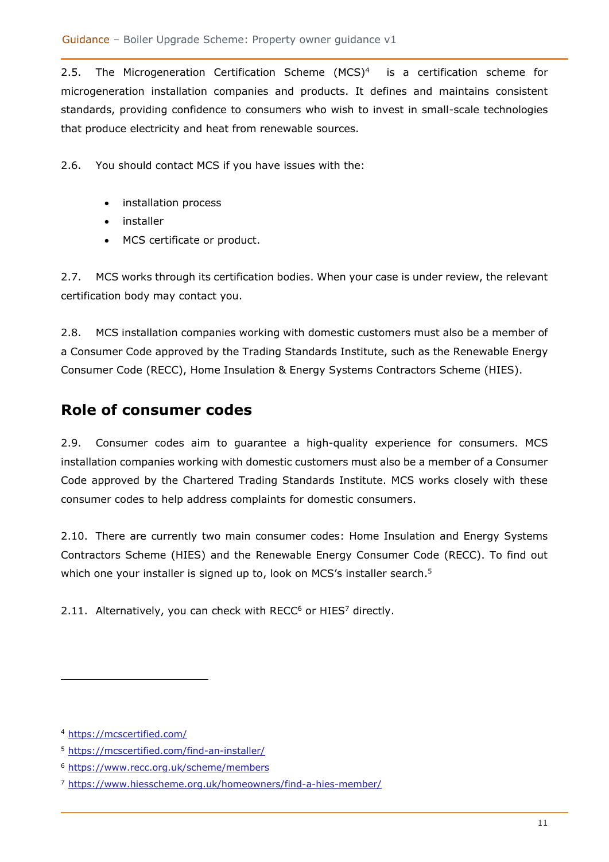2.5. The Microgeneration Certification Scheme (MCS)<sup>4</sup> is a certification scheme for microgeneration installation companies and products. It defines and maintains consistent standards, providing confidence to consumers who wish to invest in small-scale technologies that produce electricity and heat from renewable sources.

2.6. You should contact MCS if you have issues with the:

- installation process
- installer
- MCS certificate or product.

2.7. MCS works through its certification bodies. When your case is under review, the relevant certification body may contact you.

2.8. MCS installation companies working with domestic customers must also be a member of a Consumer Code approved by the Trading Standards Institute, such as the Renewable Energy Consumer Code (RECC), Home Insulation & Energy Systems Contractors Scheme (HIES).

# <span id="page-10-0"></span>**Role of consumer codes**

2.9. Consumer codes aim to guarantee a high-quality experience for consumers. MCS installation companies working with domestic customers must also be a member of a Consumer Code approved by the Chartered Trading Standards Institute. MCS works closely with these consumer codes to help address complaints for domestic consumers.

2.10. There are currently two main consumer codes: Home Insulation and Energy Systems Contractors Scheme (HIES) and the Renewable Energy Consumer Code (RECC). To find out which one your installer is signed up to, look on MCS's installer search.<sup>5</sup>

2.11. Alternatively, you can check with RECC $6$  or HIES $7$  directly.

<sup>4</sup> <https://mcscertified.com/>

<sup>5</sup> <https://mcscertified.com/find-an-installer/>

<sup>6</sup> <https://www.recc.org.uk/scheme/members>

<sup>7</sup> <https://www.hiesscheme.org.uk/homeowners/find-a-hies-member/>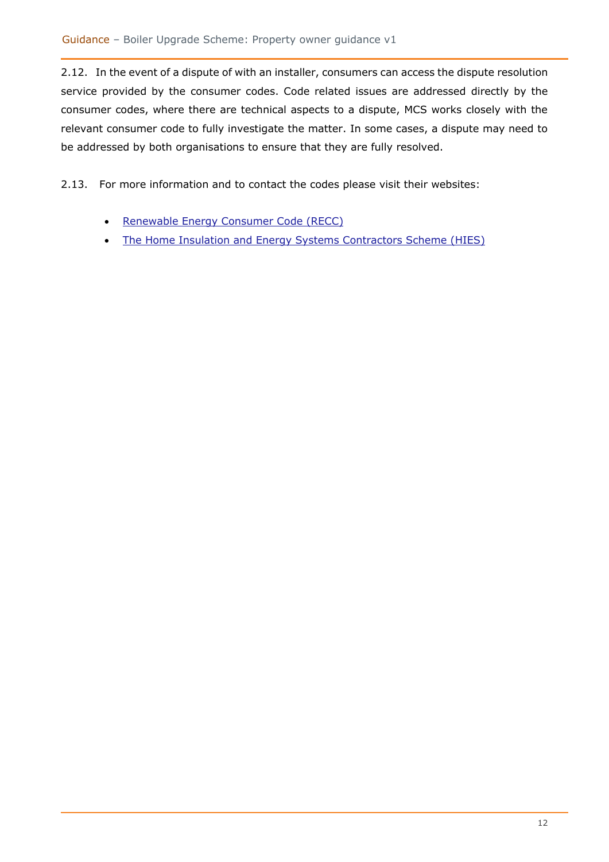2.12. In the event of a dispute of with an installer, consumers can access the dispute resolution service provided by the consumer codes. Code related issues are addressed directly by the consumer codes, where there are technical aspects to a dispute, MCS works closely with the relevant consumer code to fully investigate the matter. In some cases, a dispute may need to be addressed by both organisations to ensure that they are fully resolved.

2.13. For more information and to contact the codes please visit their websites:

- [Renewable Energy Consumer Code \(RECC\)](https://www.recc.org.uk/)
- [The Home Insulation and Energy Systems Contractors Scheme \(HIES\)](https://www.hiesscheme.org.uk/)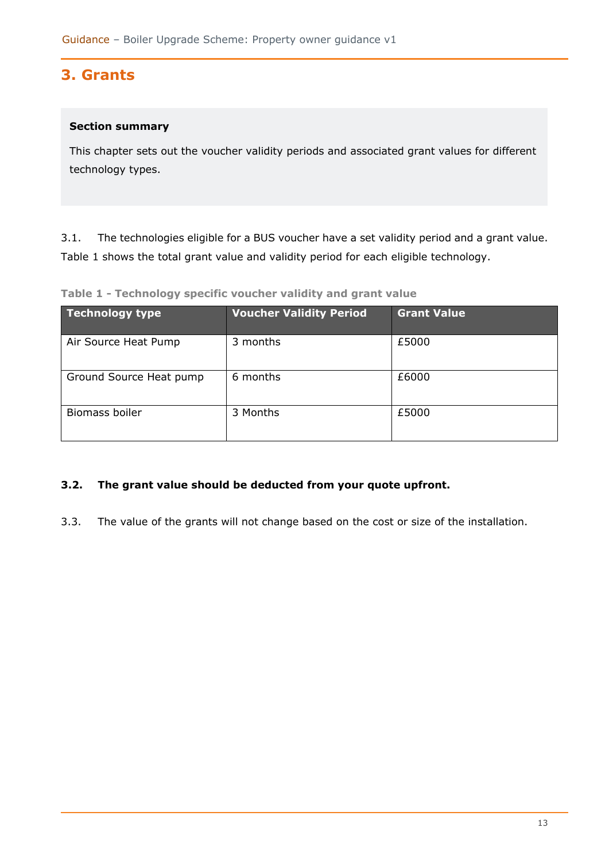# <span id="page-12-0"></span>**3. Grants**

### **Section summary**

This chapter sets out the voucher validity periods and associated grant values for different technology types.

3.1. The technologies eligible for a BUS voucher have a set validity period and a grant value. [Table 1](#page-12-1) shows the total grant value and validity period for each eligible technology.

<span id="page-12-1"></span>**Table 1 - Technology specific voucher validity and grant value**

| Technology type         | <b>Voucher Validity Period</b> | <b>Grant Value</b> |
|-------------------------|--------------------------------|--------------------|
| Air Source Heat Pump    | 3 months                       | £5000              |
| Ground Source Heat pump | 6 months                       | £6000              |
| Biomass boiler          | 3 Months                       | £5000              |

### **3.2. The grant value should be deducted from your quote upfront.**

3.3. The value of the grants will not change based on the cost or size of the installation.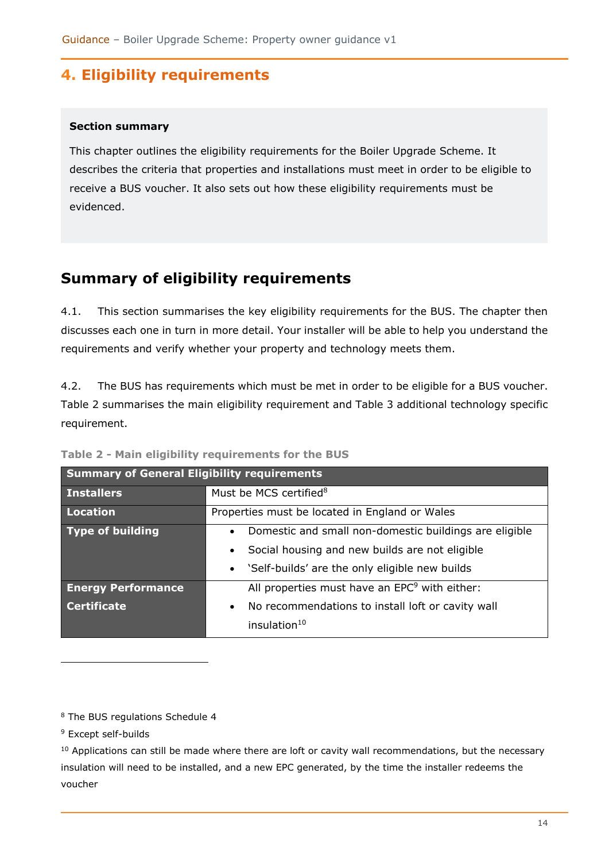# <span id="page-13-0"></span>**4. Eligibility requirements**

### **Section summary**

This chapter outlines the eligibility requirements for the Boiler Upgrade Scheme. It describes the criteria that properties and installations must meet in order to be eligible to receive a BUS voucher. It also sets out how these eligibility requirements must be evidenced.

# <span id="page-13-1"></span>**Summary of eligibility requirements**

4.1. This section summarises the key eligibility requirements for the BUS. The chapter then discusses each one in turn in more detail. Your installer will be able to help you understand the requirements and verify whether your property and technology meets them.

4.2. The BUS has requirements which must be met in order to be eligible for a BUS voucher. [Table 2](#page-13-2) summarises the main eligibility requirement and [Table 3](#page-14-0) additional technology specific requirement.

| <b>Summary of General Eligibility requirements</b> |                                                                                                                                                                                                   |  |
|----------------------------------------------------|---------------------------------------------------------------------------------------------------------------------------------------------------------------------------------------------------|--|
| <b>Installers</b>                                  | Must be MCS certified <sup>8</sup>                                                                                                                                                                |  |
| Location                                           | Properties must be located in England or Wales                                                                                                                                                    |  |
| Type of building                                   | Domestic and small non-domestic buildings are eligible<br>$\bullet$<br>Social housing and new builds are not eligible<br>$\bullet$<br>'Self-builds' are the only eligible new builds<br>$\bullet$ |  |
| <b>Energy Performance</b>                          | All properties must have an EPC <sup>9</sup> with either:                                                                                                                                         |  |
| <b>Certificate</b>                                 | No recommendations to install loft or cavity wall<br>$\bullet$<br>insulation <sup>10</sup>                                                                                                        |  |

<span id="page-13-2"></span>**Table 2 - Main eligibility requirements for the BUS**

<sup>8</sup> The BUS regulations Schedule 4

<sup>9</sup> Except self-builds

<sup>10</sup> Applications can still be made where there are loft or cavity wall recommendations, but the necessary insulation will need to be installed, and a new EPC generated, by the time the installer redeems the voucher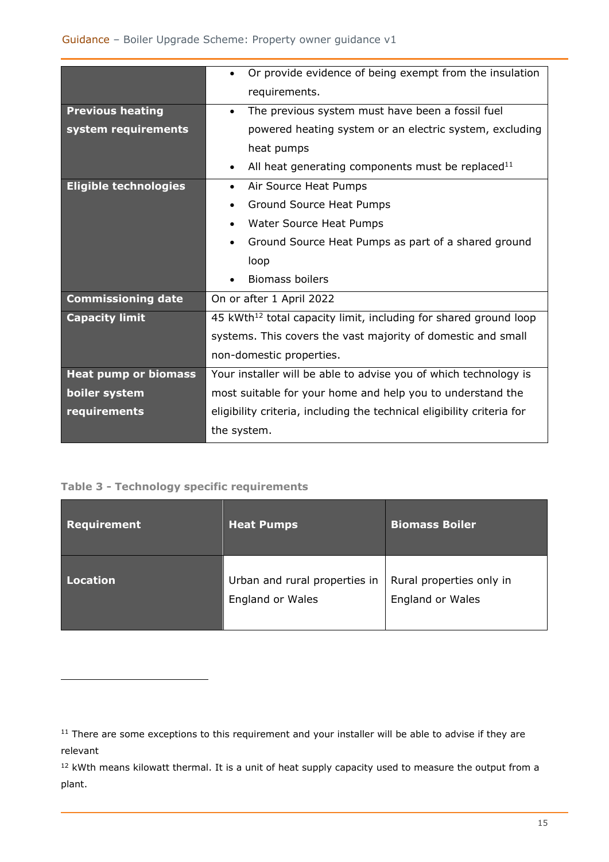|                              | Or provide evidence of being exempt from the insulation                      |  |
|------------------------------|------------------------------------------------------------------------------|--|
|                              | requirements.                                                                |  |
| <b>Previous heating</b>      | The previous system must have been a fossil fuel<br>$\bullet$                |  |
| system requirements          | powered heating system or an electric system, excluding                      |  |
|                              | heat pumps                                                                   |  |
|                              | All heat generating components must be replaced <sup>11</sup><br>$\bullet$   |  |
| <b>Eligible technologies</b> | Air Source Heat Pumps<br>$\bullet$                                           |  |
|                              | Ground Source Heat Pumps                                                     |  |
|                              | Water Source Heat Pumps<br>$\bullet$                                         |  |
|                              | Ground Source Heat Pumps as part of a shared ground<br>$\bullet$             |  |
|                              | loop                                                                         |  |
|                              | <b>Biomass boilers</b>                                                       |  |
| <b>Commissioning date</b>    | On or after 1 April 2022                                                     |  |
| <b>Capacity limit</b>        | 45 kWth <sup>12</sup> total capacity limit, including for shared ground loop |  |
|                              | systems. This covers the vast majority of domestic and small                 |  |
|                              | non-domestic properties.                                                     |  |
| <b>Heat pump or biomass</b>  | Your installer will be able to advise you of which technology is             |  |
| boiler system                | most suitable for your home and help you to understand the                   |  |
| requirements                 | eligibility criteria, including the technical eligibility criteria for       |  |
|                              | the system.                                                                  |  |

### <span id="page-14-0"></span>**Table 3 - Technology specific requirements**

| Requirement     | <b>Heat Pumps</b>                                        | <b>Biomass Boiler</b>                        |
|-----------------|----------------------------------------------------------|----------------------------------------------|
| <b>Location</b> | Urban and rural properties in<br><b>England or Wales</b> | Rural properties only in<br>England or Wales |

<sup>&</sup>lt;sup>11</sup> There are some exceptions to this requirement and your installer will be able to advise if they are relevant

<sup>&</sup>lt;sup>12</sup> kWth means kilowatt thermal. It is a unit of heat supply capacity used to measure the output from a plant.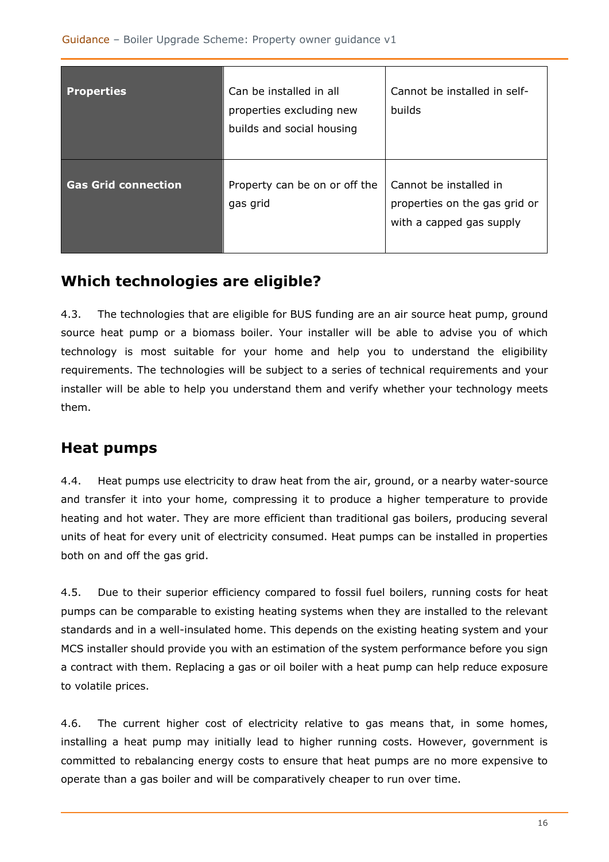| <b>Properties</b>          | Can be installed in all<br>properties excluding new<br>builds and social housing | Cannot be installed in self-<br><b>builds</b>                                       |
|----------------------------|----------------------------------------------------------------------------------|-------------------------------------------------------------------------------------|
| <b>Gas Grid connection</b> | Property can be on or off the<br>gas grid                                        | Cannot be installed in<br>properties on the gas grid or<br>with a capped gas supply |

# <span id="page-15-0"></span>**Which technologies are eligible?**

4.3. The technologies that are eligible for BUS funding are an air source heat pump, ground source heat pump or a biomass boiler. Your installer will be able to advise you of which technology is most suitable for your home and help you to understand the eligibility requirements. The technologies will be subject to a series of technical requirements and your installer will be able to help you understand them and verify whether your technology meets them.

# <span id="page-15-1"></span>**Heat pumps**

4.4. Heat pumps use electricity to draw heat from the air, ground, or a nearby water-source and transfer it into your home, compressing it to produce a higher temperature to provide heating and hot water. They are more efficient than traditional gas boilers, producing several units of heat for every unit of electricity consumed. Heat pumps can be installed in properties both on and off the gas grid.

4.5. Due to their superior efficiency compared to fossil fuel boilers, running costs for heat pumps can be comparable to existing heating systems when they are installed to the relevant standards and in a well-insulated home. This depends on the existing heating system and your MCS installer should provide you with an estimation of the system performance before you sign a contract with them. Replacing a gas or oil boiler with a heat pump can help reduce exposure to volatile prices.

4.6. The current higher cost of electricity relative to gas means that, in some homes, installing a heat pump may initially lead to higher running costs. However, government is committed to rebalancing energy costs to ensure that heat pumps are no more expensive to operate than a gas boiler and will be comparatively cheaper to run over time.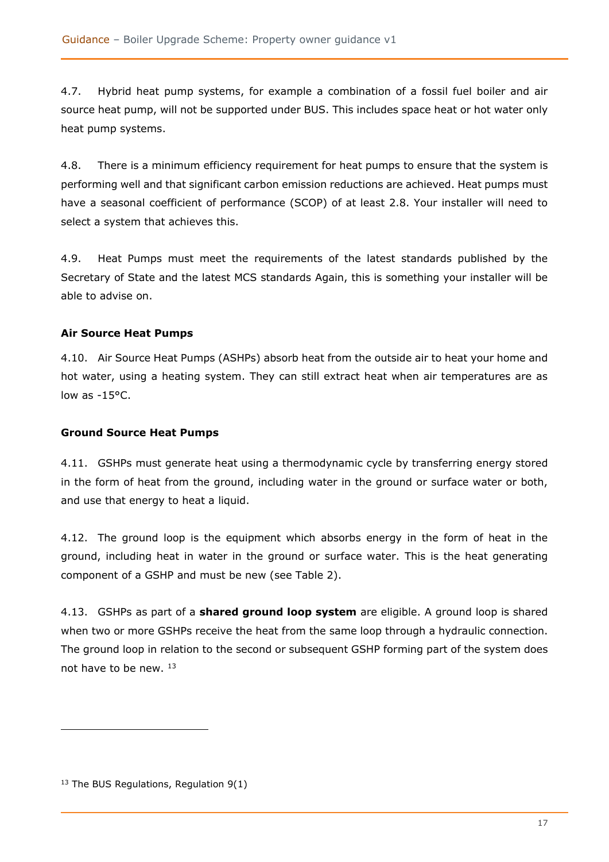4.7. Hybrid heat pump systems, for example a combination of a fossil fuel boiler and air source heat pump, will not be supported under BUS. This includes space heat or hot water only heat pump systems.

4.8. There is a minimum efficiency requirement for heat pumps to ensure that the system is performing well and that significant carbon emission reductions are achieved. Heat pumps must have a seasonal coefficient of performance (SCOP) of at least 2.8. Your installer will need to select a system that achieves this.

4.9. Heat Pumps must meet the requirements of the latest standards published by the Secretary of State and the latest MCS standards Again, this is something your installer will be able to advise on.

### <span id="page-16-0"></span>**Air Source Heat Pumps**

4.10. Air Source Heat Pumps (ASHPs) absorb heat from the outside air to heat your home and hot water, using a heating system. They can still extract heat when air temperatures are as low as -15°C.

#### <span id="page-16-1"></span>**Ground Source Heat Pumps**

<span id="page-16-2"></span>4.11. GSHPs must generate heat using a thermodynamic cycle by transferring energy stored in the form of heat from the ground, including water in the ground or surface water or both, and use that energy to heat a liquid.

4.12. The ground loop is the equipment which absorbs energy in the form of heat in the ground, including heat in water in the ground or surface water. This is the heat generating component of a GSHP and must be new (see [Table 2\)](#page-13-2).

4.13. GSHPs as part of a **shared ground loop system** are eligible. A ground loop is shared when two or more GSHPs receive the heat from the same loop through a hydraulic connection. The ground loop in relation to the second or subsequent GSHP forming part of the system does not have to be new. <sup>13</sup>

 $13$  The BUS Regulations, Regulation 9(1)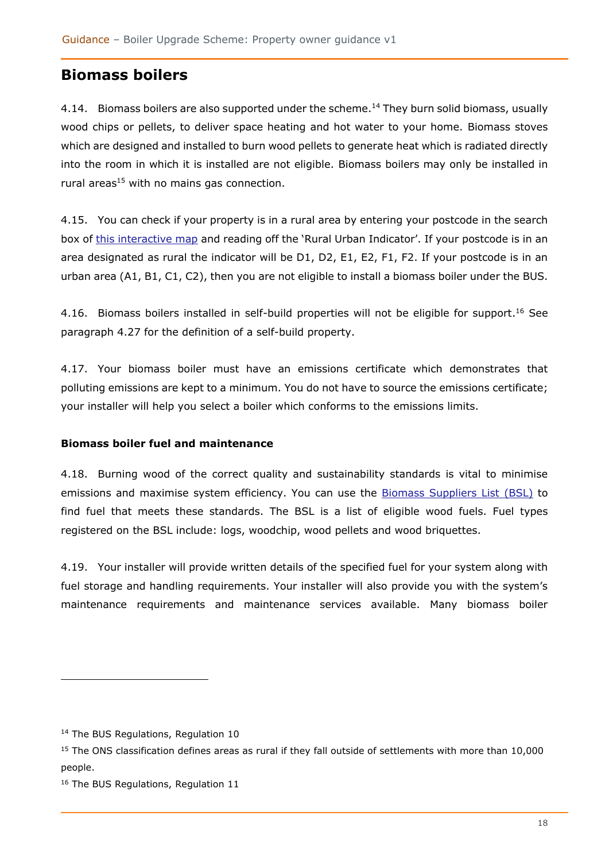# **Biomass boilers**

4.14. Biomass boilers are also supported under the scheme.<sup>14</sup> They burn solid biomass, usually wood chips or pellets, to deliver space heating and hot water to your home. Biomass stoves which are designed and installed to burn wood pellets to generate heat which is radiated directly into the room in which it is installed are not eligible. Biomass boilers may only be installed in rural areas $15$  with no mains gas connection.

4.15. You can check if your property is in a rural area by entering your postcode in the search box of [this interactive map](https://ons.maps.arcgis.com/apps/webappviewer/index.html?id=374d26ccc6244bf594465a3a4ab3ac19) and reading off the 'Rural Urban Indicator'. If your postcode is in an area designated as rural the indicator will be D1, D2, E1, E2, F1, F2. If your postcode is in an urban area (A1, B1, C1, C2), then you are not eligible to install a biomass boiler under the BUS.

4.16. Biomass boilers installed in self-build properties will not be eligible for support.<sup>16</sup> See paragraph [4.27](#page-19-0) for the definition of a self-build property.

<span id="page-17-0"></span>4.17. Your biomass boiler must have an emissions certificate which demonstrates that polluting emissions are kept to a minimum. You do not have to source the emissions certificate; your installer will help you select a boiler which conforms to the emissions limits.

### **Biomass boiler fuel and maintenance**

4.18. Burning wood of the correct quality and sustainability standards is vital to minimise emissions and maximise system efficiency. You can use the **Biomass Suppliers List (BSL)** to find fuel that meets these standards. The BSL is a list of eligible wood fuels. Fuel types registered on the BSL include: logs, woodchip, wood pellets and wood briquettes.

4.19. Your installer will provide written details of the specified fuel for your system along with fuel storage and handling requirements. Your installer will also provide you with the system's maintenance requirements and maintenance services available. Many biomass boiler

<sup>&</sup>lt;sup>14</sup> The BUS Regulations, Regulation 10

<sup>&</sup>lt;sup>15</sup> The ONS classification defines areas as rural if they fall outside of settlements with more than 10,000 people.

<sup>&</sup>lt;sup>16</sup> The BUS Regulations, Regulation 11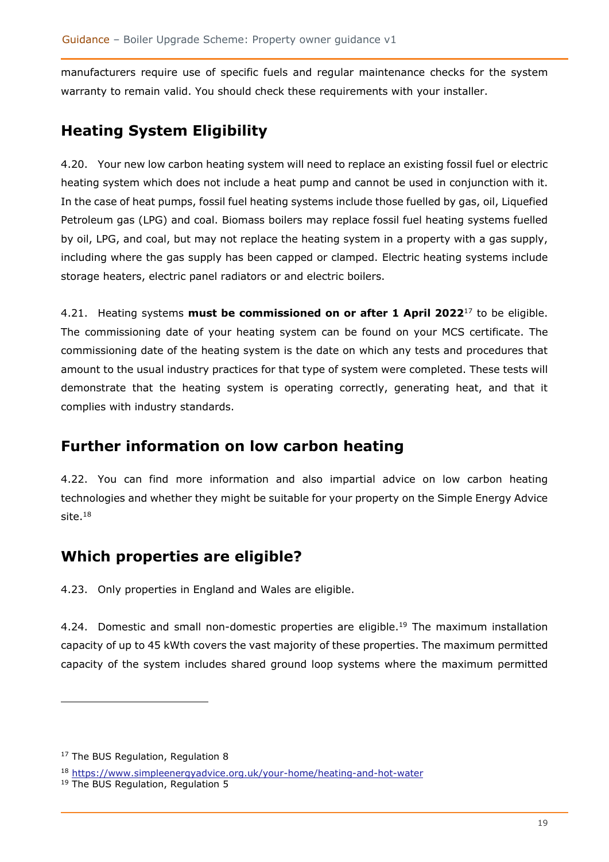manufacturers require use of specific fuels and regular maintenance checks for the system warranty to remain valid. You should check these requirements with your installer.

# <span id="page-18-0"></span>**Heating System Eligibility**

4.20. Your new low carbon heating system will need to replace an existing fossil fuel or electric heating system which does not include a heat pump and cannot be used in conjunction with it. In the case of heat pumps, fossil fuel heating systems include those fuelled by gas, oil, Liquefied Petroleum gas (LPG) and coal. Biomass boilers may replace fossil fuel heating systems fuelled by oil, LPG, and coal, but may not replace the heating system in a property with a gas supply, including where the gas supply has been capped or clamped. Electric heating systems include storage heaters, electric panel radiators or and electric boilers.

4.21. Heating systems **must be commissioned on or after 1 April 2022**<sup>17</sup> to be eligible. The commissioning date of your heating system can be found on your MCS certificate. The commissioning date of the heating system is the date on which any tests and procedures that amount to the usual industry practices for that type of system were completed. These tests will demonstrate that the heating system is operating correctly, generating heat, and that it complies with industry standards.

# <span id="page-18-1"></span>**Further information on low carbon heating**

4.22. You can find more information and also impartial advice on low carbon heating technologies and whether they might be suitable for your property on the Simple Energy Advice site. 18

# <span id="page-18-2"></span>**Which properties are eligible?**

4.23. Only properties in England and Wales are eligible.

4.24. Domestic and small non-domestic properties are eligible.<sup>19</sup> The maximum installation capacity of up to 45 kWth covers the vast majority of these properties. The maximum permitted capacity of the system includes shared ground loop systems where the maximum permitted

<sup>&</sup>lt;sup>17</sup> The BUS Regulation, Regulation 8

<sup>18</sup> <https://www.simpleenergyadvice.org.uk/your-home/heating-and-hot-water>

<sup>&</sup>lt;sup>19</sup> The BUS Regulation, Regulation 5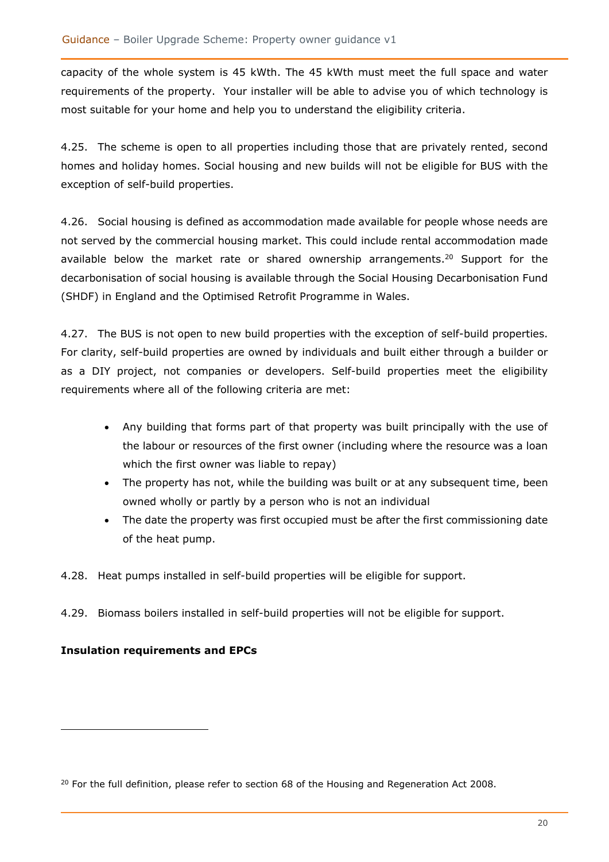capacity of the whole system is 45 kWth. The 45 kWth must meet the full space and water requirements of the property. Your installer will be able to advise you of which technology is most suitable for your home and help you to understand the eligibility criteria.

4.25. The scheme is open to all properties including those that are privately rented, second homes and holiday homes. Social housing and new builds will not be eligible for BUS with the exception of self-build properties.

4.26. Social housing is defined as accommodation made available for people whose needs are not served by the commercial housing market. This could include rental accommodation made available below the market rate or shared ownership arrangements.<sup>20</sup> Support for the decarbonisation of social housing is available through the Social Housing Decarbonisation Fund (SHDF) in England and the Optimised Retrofit Programme in Wales.

<span id="page-19-0"></span>4.27. The BUS is not open to new build properties with the exception of self-build properties. For clarity, self-build properties are owned by individuals and built either through a builder or as a DIY project, not companies or developers. Self-build properties meet the eligibility requirements where all of the following criteria are met:

- Any building that forms part of that property was built principally with the use of the labour or resources of the first owner (including where the resource was a loan which the first owner was liable to repay)
- The property has not, while the building was built or at any subsequent time, been owned wholly or partly by a person who is not an individual
- The date the property was first occupied must be after the first commissioning date of the heat pump.
- 4.28. Heat pumps installed in self-build properties will be eligible for support.
- 4.29. Biomass boilers installed in self-build properties will not be eligible for support.

### **Insulation requirements and EPCs**

 $20$  For the full definition, please refer to section 68 of the Housing and Regeneration Act 2008.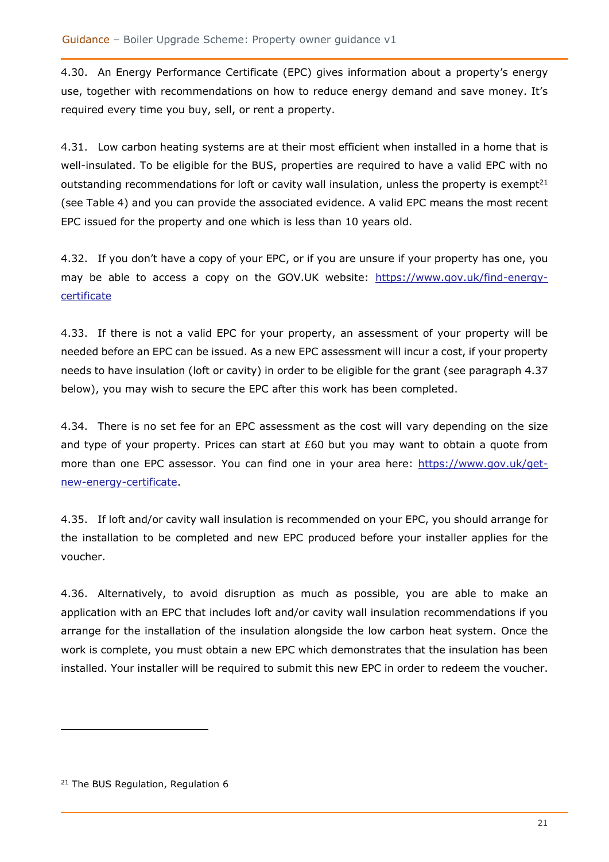4.30. An Energy Performance Certificate (EPC) gives information about a property's energy use, together with recommendations on how to reduce energy demand and save money. It's required every time you buy, sell, or rent a property.

4.31. Low carbon heating systems are at their most efficient when installed in a home that is well-insulated. To be eligible for the BUS, properties are required to have a valid EPC with no outstanding recommendations for loft or cavity wall insulation, unless the property is exempt<sup>21</sup> (see [Table 4\)](#page-23-1) and you can provide the associated evidence. A valid EPC means the most recent EPC issued for the property and one which is less than 10 years old.

4.32. If you don't have a copy of your EPC, or if you are unsure if your property has one, you may be able to access a copy on the GOV.UK website: [https://www.gov.uk/find-energy](https://www.gov.uk/find-energy-certificate)**[certificate](https://www.gov.uk/find-energy-certificate)** 

4.33. If there is not a valid EPC for your property, an assessment of your property will be needed before an EPC can be issued. As a new EPC assessment will incur a cost, if your property needs to have insulation (loft or cavity) in order to be eligible for the grant (see paragraph [4.37](#page-21-0) below), you may wish to secure the EPC after this work has been completed.

4.34. There is no set fee for an EPC assessment as the cost will vary depending on the size and type of your property. Prices can start at £60 but you may want to obtain a quote from more than one EPC assessor. You can find one in your area here: [https://www.gov.uk/get](https://www.gov.uk/get-new-energy-certificate)[new-energy-certificate.](https://www.gov.uk/get-new-energy-certificate)

4.35. If loft and/or cavity wall insulation is recommended on your EPC, you should arrange for the installation to be completed and new EPC produced before your installer applies for the voucher.

4.36. Alternatively, to avoid disruption as much as possible, you are able to make an application with an EPC that includes loft and/or cavity wall insulation recommendations if you arrange for the installation of the insulation alongside the low carbon heat system. Once the work is complete, you must obtain a new EPC which demonstrates that the insulation has been installed. Your installer will be required to submit this new EPC in order to redeem the voucher.

<sup>&</sup>lt;sup>21</sup> The BUS Regulation, Regulation 6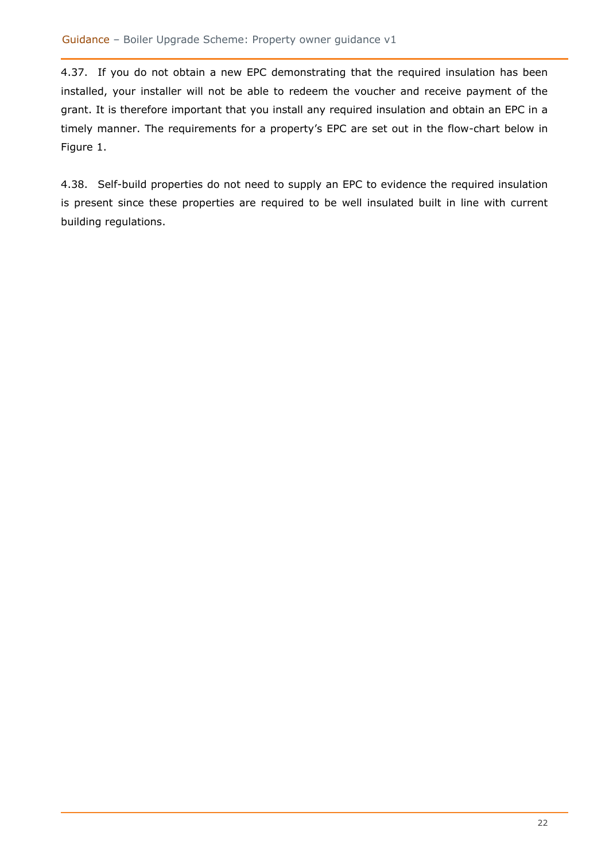<span id="page-21-0"></span>4.37. If you do not obtain a new EPC demonstrating that the required insulation has been installed, your installer will not be able to redeem the voucher and receive payment of the grant. It is therefore important that you install any required insulation and obtain an EPC in a timely manner. The requirements for a property's EPC are set out in the flow-chart below in [Figure 1.](#page-22-0)

4.38. Self-build properties do not need to supply an EPC to evidence the required insulation is present since these properties are required to be well insulated built in line with current building regulations.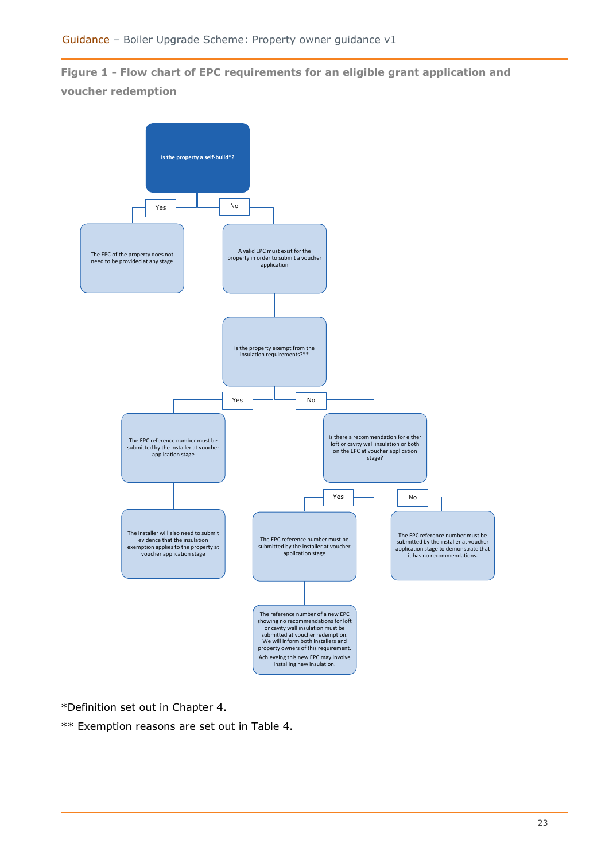### <span id="page-22-0"></span>**Figure 1 - Flow chart of EPC requirements for an eligible grant application and voucher redemption**



\*Definition set out in Chapter 4.

\*\* Exemption reasons are set out in Table 4.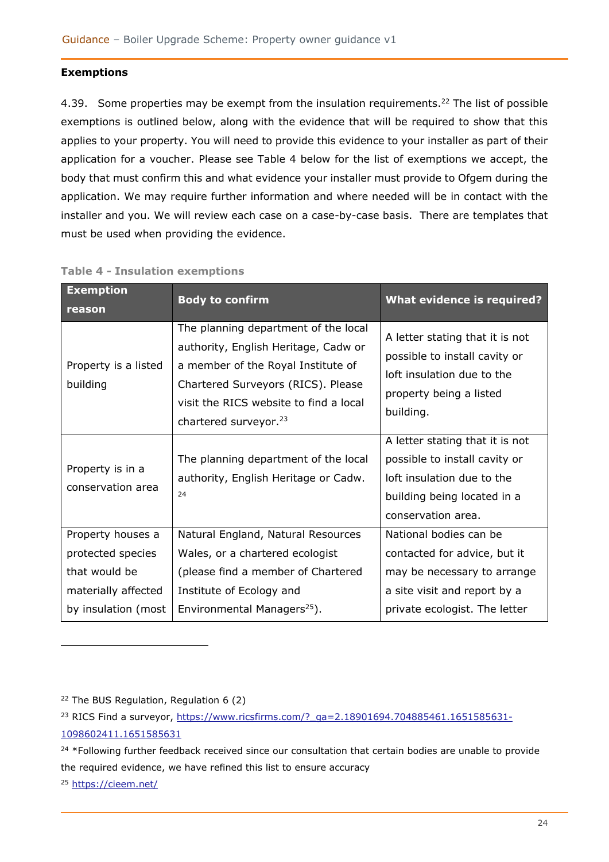#### <span id="page-23-0"></span>**Exemptions**

4.39. Some properties may be exempt from the insulation requirements.<sup>22</sup> The list of possible exemptions is outlined below, along with the evidence that will be required to show that this applies to your property. You will need to provide this evidence to your installer as part of their application for a voucher. Please see [Table 4](#page-23-1) below for the list of exemptions we accept, the body that must confirm this and what evidence your installer must provide to Ofgem during the application. We may require further information and where needed will be in contact with the installer and you. We will review each case on a case-by-case basis. There are templates that must be used when providing the evidence.

| <b>Exemption</b><br>reason                                                                            | <b>Body to confirm</b>                                                                                                                                                                                                                  | <b>What evidence is required?</b>                                                                                                                      |
|-------------------------------------------------------------------------------------------------------|-----------------------------------------------------------------------------------------------------------------------------------------------------------------------------------------------------------------------------------------|--------------------------------------------------------------------------------------------------------------------------------------------------------|
| Property is a listed<br>building                                                                      | The planning department of the local<br>authority, English Heritage, Cadw or<br>a member of the Royal Institute of<br>Chartered Surveyors (RICS). Please<br>visit the RICS website to find a local<br>chartered surveyor. <sup>23</sup> | A letter stating that it is not<br>possible to install cavity or<br>loft insulation due to the<br>property being a listed<br>building.                 |
| Property is in a<br>conservation area                                                                 | The planning department of the local<br>authority, English Heritage or Cadw.<br>24                                                                                                                                                      | A letter stating that it is not<br>possible to install cavity or<br>loft insulation due to the<br>building being located in a<br>conservation area.    |
| Property houses a<br>protected species<br>that would be<br>materially affected<br>by insulation (most | Natural England, Natural Resources<br>Wales, or a chartered ecologist<br>(please find a member of Chartered<br>Institute of Ecology and<br>Environmental Managers <sup>25</sup> ).                                                      | National bodies can be<br>contacted for advice, but it<br>may be necessary to arrange<br>a site visit and report by a<br>private ecologist. The letter |

#### <span id="page-23-1"></span>**Table 4 - Insulation exemptions**

<sup>22</sup> The BUS Regulation, Regulation 6 (2)

<sup>&</sup>lt;sup>23</sup> RICS Find a surveyor, [https://www.ricsfirms.com/?\\_ga=2.18901694.704885461.1651585631-](https://www.ricsfirms.com/?_ga=2.18901694.704885461.1651585631-1098602411.1651585631) [1098602411.1651585631](https://www.ricsfirms.com/?_ga=2.18901694.704885461.1651585631-1098602411.1651585631)

<sup>&</sup>lt;sup>24</sup> \*Following further feedback received since our consultation that certain bodies are unable to provide the required evidence, we have refined this list to ensure accuracy

<sup>25</sup> <https://cieem.net/>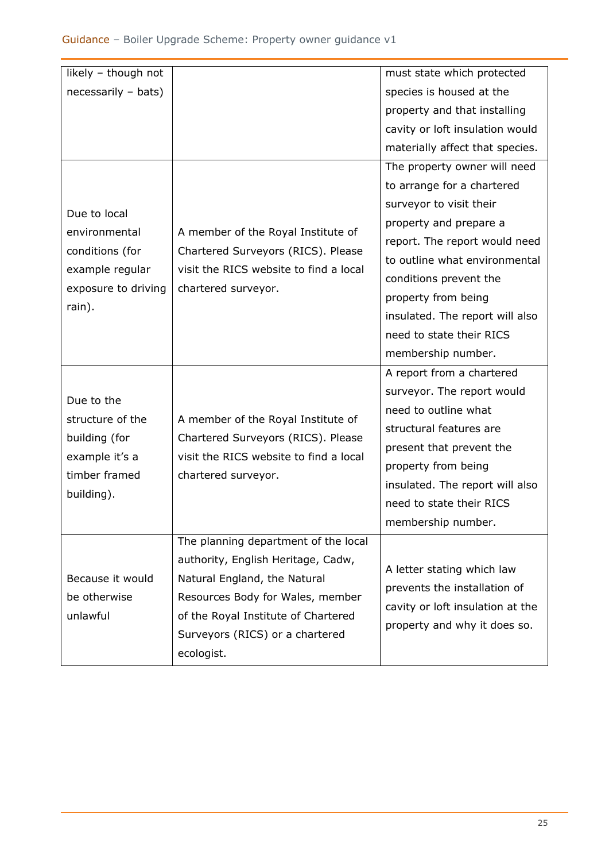| likely - though not |                                                                                                     | must state which protected       |
|---------------------|-----------------------------------------------------------------------------------------------------|----------------------------------|
| necessarily - bats) |                                                                                                     | species is housed at the         |
|                     |                                                                                                     | property and that installing     |
|                     |                                                                                                     | cavity or loft insulation would  |
|                     |                                                                                                     | materially affect that species.  |
|                     |                                                                                                     | The property owner will need     |
|                     |                                                                                                     | to arrange for a chartered       |
| Due to local        |                                                                                                     | surveyor to visit their          |
| environmental       | A member of the Royal Institute of                                                                  | property and prepare a           |
| conditions (for     | Chartered Surveyors (RICS). Please                                                                  | report. The report would need    |
| example regular     | visit the RICS website to find a local                                                              | to outline what environmental    |
| exposure to driving | chartered surveyor.                                                                                 | conditions prevent the           |
| rain).              |                                                                                                     | property from being              |
|                     |                                                                                                     | insulated. The report will also  |
|                     |                                                                                                     | need to state their RICS         |
|                     |                                                                                                     | membership number.               |
|                     |                                                                                                     | A report from a chartered        |
| Due to the          |                                                                                                     | surveyor. The report would       |
| structure of the    | A member of the Royal Institute of                                                                  | need to outline what             |
| building (for       | Chartered Surveyors (RICS). Please<br>visit the RICS website to find a local<br>chartered surveyor. | structural features are          |
| example it's a      |                                                                                                     | present that prevent the         |
| timber framed       |                                                                                                     | property from being              |
| building).          |                                                                                                     | insulated. The report will also  |
|                     |                                                                                                     | need to state their RICS         |
|                     |                                                                                                     | membership number.               |
|                     | The planning department of the local                                                                |                                  |
|                     | authority, English Heritage, Cadw,                                                                  | A letter stating which law       |
| Because it would    | Natural England, the Natural                                                                        | prevents the installation of     |
| be otherwise        | Resources Body for Wales, member                                                                    | cavity or loft insulation at the |
| unlawful            | of the Royal Institute of Chartered                                                                 | property and why it does so.     |
|                     | Surveyors (RICS) or a chartered                                                                     |                                  |
|                     | ecologist.                                                                                          |                                  |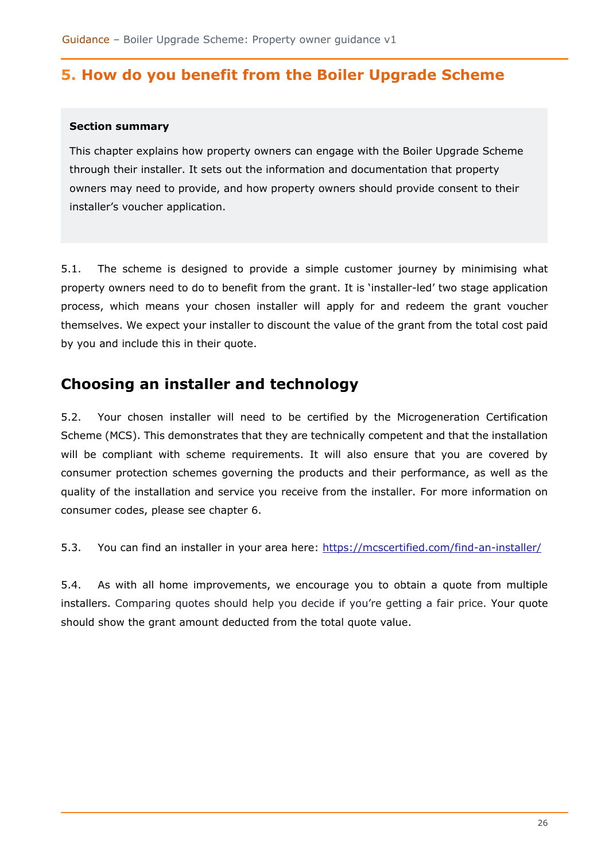# <span id="page-25-0"></span>**5. How do you benefit from the Boiler Upgrade Scheme**

#### **Section summary**

This chapter explains how property owners can engage with the Boiler Upgrade Scheme through their installer. It sets out the information and documentation that property owners may need to provide, and how property owners should provide consent to their installer's voucher application.

5.1. The scheme is designed to provide a simple customer journey by minimising what property owners need to do to benefit from the grant. It is 'installer-led' two stage application process, which means your chosen installer will apply for and redeem the grant voucher themselves. We expect your installer to discount the value of the grant from the total cost paid by you and include this in their quote.

# <span id="page-25-1"></span>**Choosing an installer and technology**

5.2. Your chosen installer will need to be certified by the Microgeneration Certification Scheme (MCS). This demonstrates that they are technically competent and that the installation will be compliant with scheme requirements. It will also ensure that you are covered by consumer protection schemes governing the products and their performance, as well as the quality of the installation and service you receive from the installer. For more information on consumer codes, please see chapter [6.](#page-31-0)

5.3. You can find an installer in your area here:<https://mcscertified.com/find-an-installer/>

<span id="page-25-2"></span>5.4. As with all home improvements, we encourage you to obtain a quote from multiple installers. Comparing quotes should help you decide if you're getting a fair price. Your quote should show the grant amount deducted from the total quote value.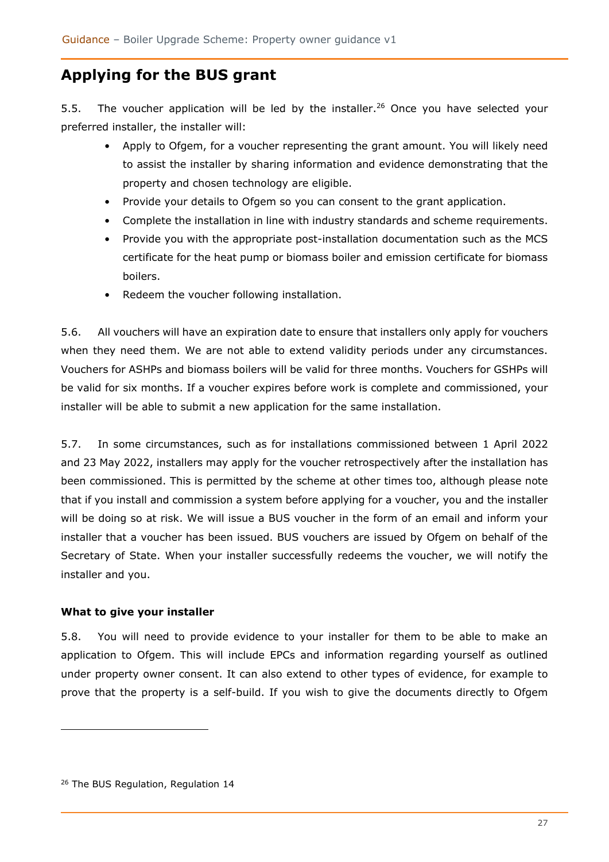# **Applying for the BUS grant**

5.5. The voucher application will be led by the installer.<sup>26</sup> Once you have selected your preferred installer, the installer will:

- Apply to Ofgem, for a voucher representing the grant amount. You will likely need to assist the installer by sharing information and evidence demonstrating that the property and chosen technology are eligible.
- Provide your details to Ofgem so you can consent to the grant application.
- Complete the installation in line with industry standards and scheme requirements.
- Provide you with the appropriate post-installation documentation such as the MCS certificate for the heat pump or biomass boiler and emission certificate for biomass boilers.
- Redeem the voucher following installation.

5.6. All vouchers will have an expiration date to ensure that installers only apply for vouchers when they need them. We are not able to extend validity periods under any circumstances. Vouchers for ASHPs and biomass boilers will be valid for three months. Vouchers for GSHPs will be valid for six months. If a voucher expires before work is complete and commissioned, your installer will be able to submit a new application for the same installation.

5.7. In some circumstances, such as for installations commissioned between 1 April 2022 and 23 May 2022, installers may apply for the voucher retrospectively after the installation has been commissioned. This is permitted by the scheme at other times too, although please note that if you install and commission a system before applying for a voucher, you and the installer will be doing so at risk. We will issue a BUS voucher in the form of an email and inform your installer that a voucher has been issued. BUS vouchers are issued by Ofgem on behalf of the Secretary of State. When your installer successfully redeems the voucher, we will notify the installer and you.

### <span id="page-26-0"></span>**What to give your installer**

5.8. You will need to provide evidence to your installer for them to be able to make an application to Ofgem. This will include EPCs and information regarding yourself as outlined under property owner consent. It can also extend to other types of evidence, for example to prove that the property is a self-build. If you wish to give the documents directly to Ofgem

<sup>&</sup>lt;sup>26</sup> The BUS Regulation, Regulation 14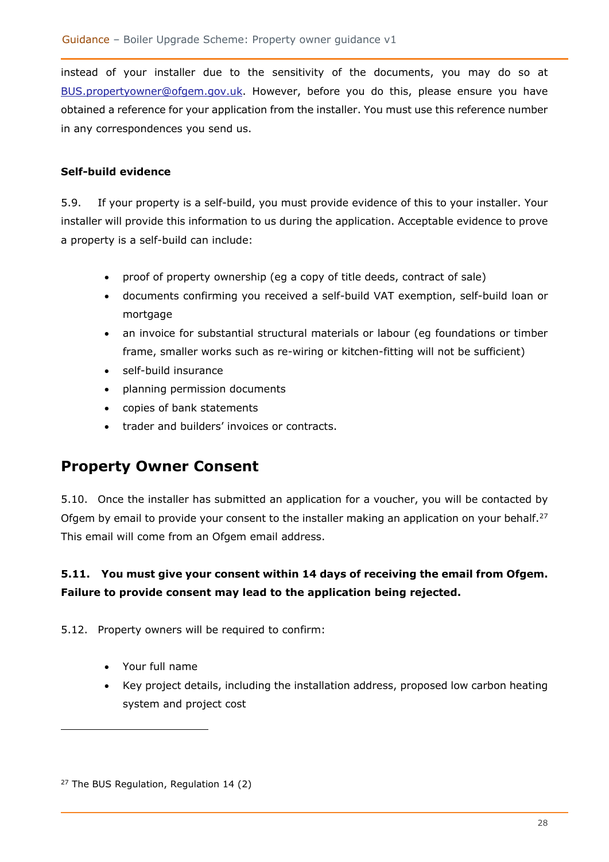instead of your installer due to the sensitivity of the documents, you may do so at [BUS.propertyowner@ofgem.gov.uk.](mailto:BUS.propertyowner@ofgem.gov.uk) However, before you do this, please ensure you have obtained a reference for your application from the installer. You must use this reference number in any correspondences you send us.

### <span id="page-27-0"></span>**Self-build evidence**

5.9. If your property is a self-build, you must provide evidence of this to your installer. Your installer will provide this information to us during the application. Acceptable evidence to prove a property is a self-build can include:

- proof of property ownership (eg a copy of title deeds, contract of sale)
- documents confirming you received a self-build VAT exemption, self-build loan or mortgage
- an invoice for substantial structural materials or labour (eg foundations or timber frame, smaller works such as re-wiring or kitchen-fitting will not be sufficient)
- self-build insurance
- planning permission documents
- copies of bank statements
- trader and builders' invoices or contracts.

# <span id="page-27-1"></span>**Property Owner Consent**

5.10. Once the installer has submitted an application for a voucher, you will be contacted by Ofgem by email to provide your consent to the installer making an application on your behalf.<sup>27</sup> This email will come from an Ofgem email address.

### **5.11. You must give your consent within 14 days of receiving the email from Ofgem. Failure to provide consent may lead to the application being rejected.**

5.12. Property owners will be required to confirm:

- Your full name
- Key project details, including the installation address, proposed low carbon heating system and project cost

<sup>27</sup> The BUS Regulation, Regulation 14 (2)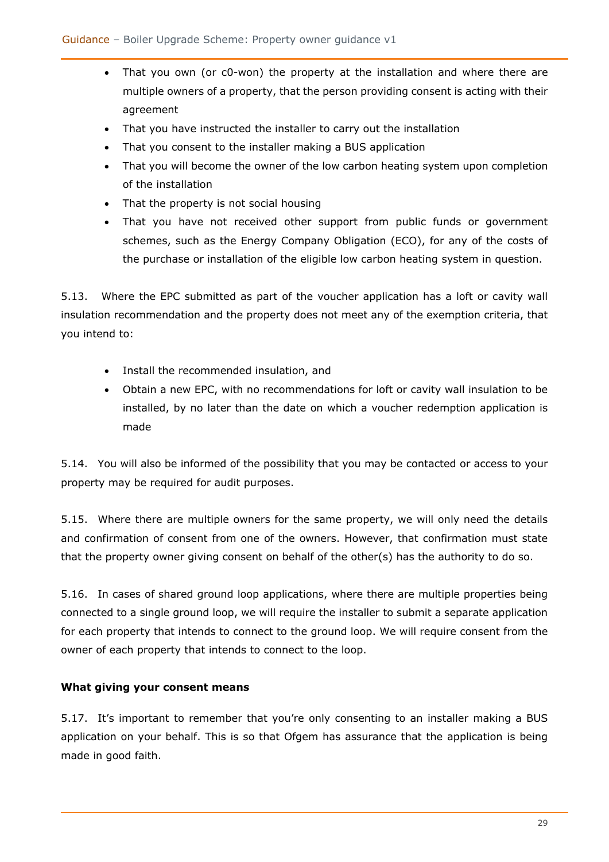- That you own (or c0-won) the property at the installation and where there are multiple owners of a property, that the person providing consent is acting with their agreement
- That you have instructed the installer to carry out the installation
- That you consent to the installer making a BUS application
- That you will become the owner of the low carbon heating system upon completion of the installation
- That the property is not social housing
- That you have not received other support from public funds or government schemes, such as the Energy Company Obligation (ECO), for any of the costs of the purchase or installation of the eligible low carbon heating system in question.

5.13. Where the EPC submitted as part of the voucher application has a loft or cavity wall insulation recommendation and the property does not meet any of the exemption criteria, that you intend to:

- Install the recommended insulation, and
- Obtain a new EPC, with no recommendations for loft or cavity wall insulation to be installed, by no later than the date on which a voucher redemption application is made

5.14. You will also be informed of the possibility that you may be contacted or access to your property may be required for audit purposes.

5.15. Where there are multiple owners for the same property, we will only need the details and confirmation of consent from one of the owners. However, that confirmation must state that the property owner giving consent on behalf of the other(s) has the authority to do so.

5.16. In cases of shared ground loop applications, where there are multiple properties being connected to a single ground loop, we will require the installer to submit a separate application for each property that intends to connect to the ground loop. We will require consent from the owner of each property that intends to connect to the loop.

### <span id="page-28-0"></span>**What giving your consent means**

5.17. It's important to remember that you're only consenting to an installer making a BUS application on your behalf. This is so that Ofgem has assurance that the application is being made in good faith.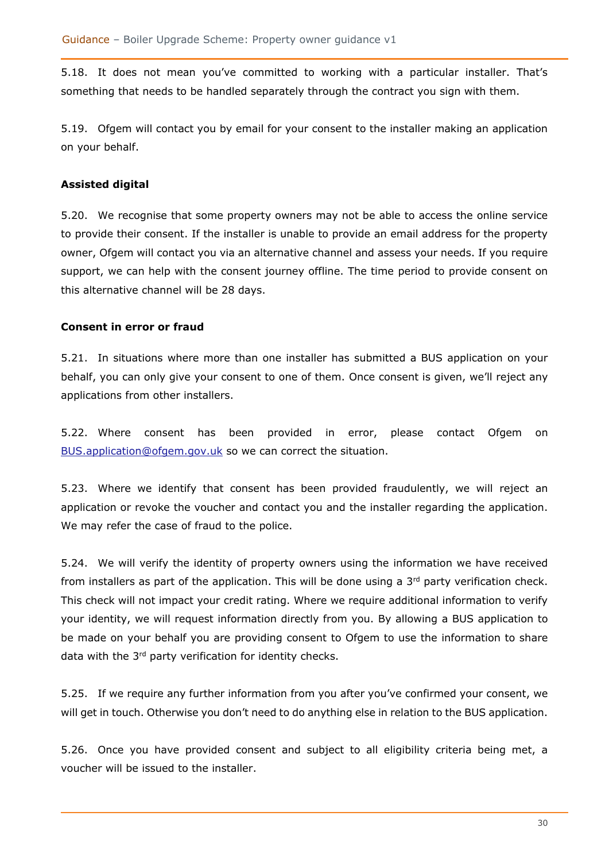5.18. It does not mean you've committed to working with a particular installer. That's something that needs to be handled separately through the contract you sign with them.

5.19. Ofgem will contact you by email for your consent to the installer making an application on your behalf.

#### <span id="page-29-0"></span>**Assisted digital**

5.20. We recognise that some property owners may not be able to access the online service to provide their consent. If the installer is unable to provide an email address for the property owner, Ofgem will contact you via an alternative channel and assess your needs. If you require support, we can help with the consent journey offline. The time period to provide consent on this alternative channel will be 28 days.

#### <span id="page-29-1"></span>**Consent in error or fraud**

5.21. In situations where more than one installer has submitted a BUS application on your behalf, you can only give your consent to one of them. Once consent is given, we'll reject any applications from other installers.

5.22. Where consent has been provided in error, please contact Ofgem on [BUS.application@ofgem.gov.uk](mailto:BUS.application@ofgem.gov.uk) so we can correct the situation.

5.23. Where we identify that consent has been provided fraudulently, we will reject an application or revoke the voucher and contact you and the installer regarding the application. We may refer the case of fraud to the police.

5.24. We will verify the identity of property owners using the information we have received from installers as part of the application. This will be done using a  $3<sup>rd</sup>$  party verification check. This check will not impact your credit rating. Where we require additional information to verify your identity, we will request information directly from you. By allowing a BUS application to be made on your behalf you are providing consent to Ofgem to use the information to share data with the 3<sup>rd</sup> party verification for identity checks.

5.25. If we require any further information from you after you've confirmed your consent, we will get in touch. Otherwise you don't need to do anything else in relation to the BUS application.

5.26. Once you have provided consent and subject to all eligibility criteria being met, a voucher will be issued to the installer.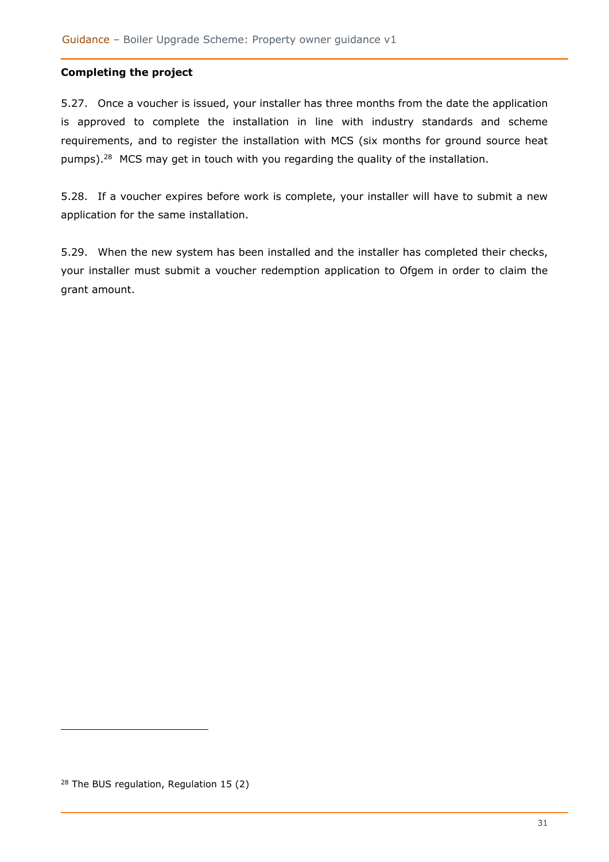#### <span id="page-30-0"></span>**Completing the project**

5.27. Once a voucher is issued, your installer has three months from the date the application is approved to complete the installation in line with industry standards and scheme requirements, and to register the installation with MCS (six months for ground source heat pumps).<sup>28</sup> MCS may get in touch with you regarding the quality of the installation.

5.28. If a voucher expires before work is complete, your installer will have to submit a new application for the same installation.

5.29. When the new system has been installed and the installer has completed their checks, your installer must submit a voucher redemption application to Ofgem in order to claim the grant amount.

<sup>28</sup> The BUS regulation, Regulation 15 (2)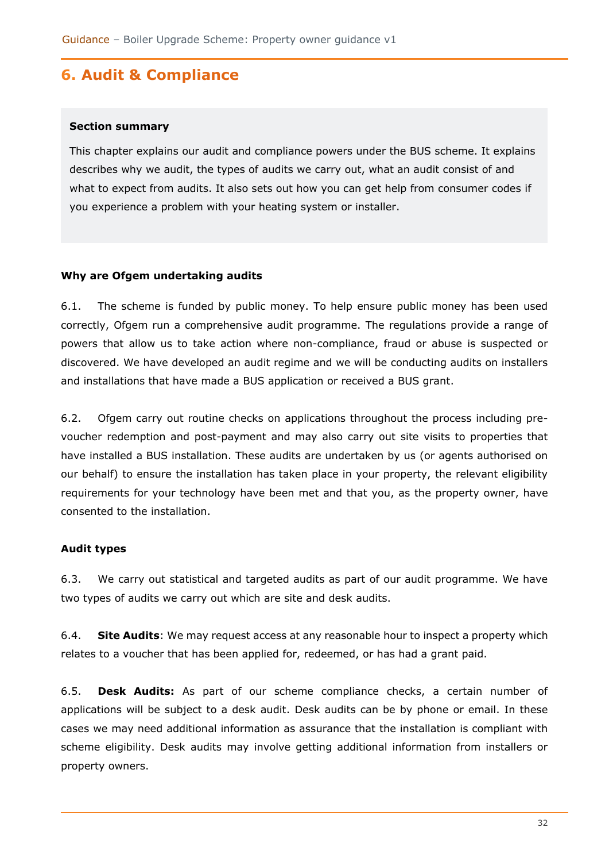# <span id="page-31-0"></span>**6. Audit & Compliance**

#### **Section summary**

This chapter explains our audit and compliance powers under the BUS scheme. It explains describes why we audit, the types of audits we carry out, what an audit consist of and what to expect from audits. It also sets out how you can get help from consumer codes if you experience a problem with your heating system or installer.

#### <span id="page-31-1"></span>**Why are Ofgem undertaking audits**

6.1. The scheme is funded by public money. To help ensure public money has been used correctly, Ofgem run a comprehensive audit programme. The regulations provide a range of powers that allow us to take action where non-compliance, fraud or abuse is suspected or discovered. We have developed an audit regime and we will be conducting audits on installers and installations that have made a BUS application or received a BUS grant.

6.2. Ofgem carry out routine checks on applications throughout the process including prevoucher redemption and post-payment and may also carry out site visits to properties that have installed a BUS installation. These audits are undertaken by us (or agents authorised on our behalf) to ensure the installation has taken place in your property, the relevant eligibility requirements for your technology have been met and that you, as the property owner, have consented to the installation.

### <span id="page-31-2"></span>**Audit types**

6.3. We carry out statistical and targeted audits as part of our audit programme. We have two types of audits we carry out which are site and desk audits.

6.4. **Site Audits**: We may request access at any reasonable hour to inspect a property which relates to a voucher that has been applied for, redeemed, or has had a grant paid.

6.5. **Desk Audits:** As part of our scheme compliance checks, a certain number of applications will be subject to a desk audit. Desk audits can be by phone or email. In these cases we may need additional information as assurance that the installation is compliant with scheme eligibility. Desk audits may involve getting additional information from installers or property owners.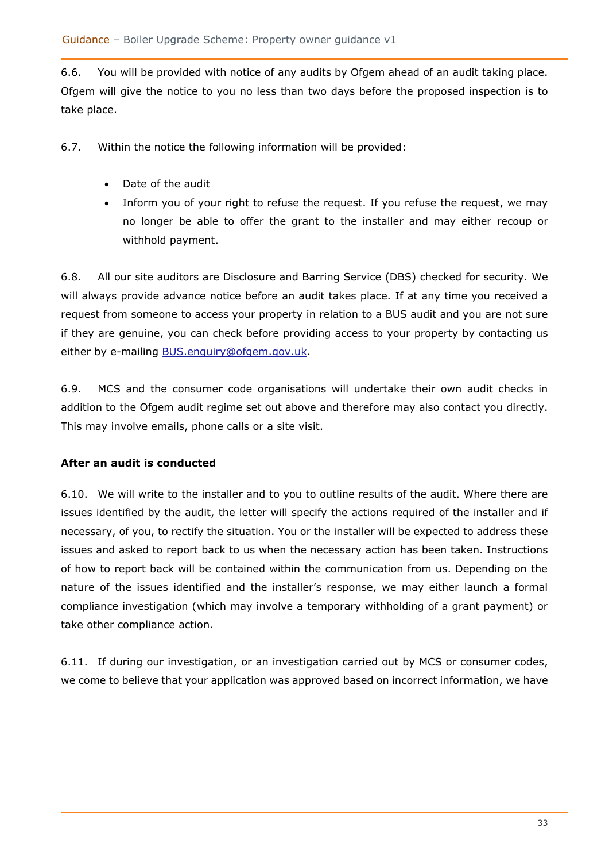6.6. You will be provided with notice of any audits by Ofgem ahead of an audit taking place. Ofgem will give the notice to you no less than two days before the proposed inspection is to take place.

6.7. Within the notice the following information will be provided:

- Date of the audit
- Inform you of your right to refuse the request. If you refuse the request, we may no longer be able to offer the grant to the installer and may either recoup or withhold payment.

6.8. All our site auditors are Disclosure and Barring Service (DBS) checked for security. We will always provide advance notice before an audit takes place. If at any time you received a request from someone to access your property in relation to a BUS audit and you are not sure if they are genuine, you can check before providing access to your property by contacting us either by e-mailing [BUS.enquiry@ofgem.gov.uk.](mailto:BUS.enquiry@ofgem.gov.uk)

6.9. MCS and the consumer code organisations will undertake their own audit checks in addition to the Ofgem audit regime set out above and therefore may also contact you directly. This may involve emails, phone calls or a site visit.

### <span id="page-32-0"></span>**After an audit is conducted**

6.10. We will write to the installer and to you to outline results of the audit. Where there are issues identified by the audit, the letter will specify the actions required of the installer and if necessary, of you, to rectify the situation. You or the installer will be expected to address these issues and asked to report back to us when the necessary action has been taken. Instructions of how to report back will be contained within the communication from us. Depending on the nature of the issues identified and the installer's response, we may either launch a formal compliance investigation (which may involve a temporary withholding of a grant payment) or take other compliance action.

6.11. If during our investigation, or an investigation carried out by MCS or consumer codes, we come to believe that your application was approved based on incorrect information, we have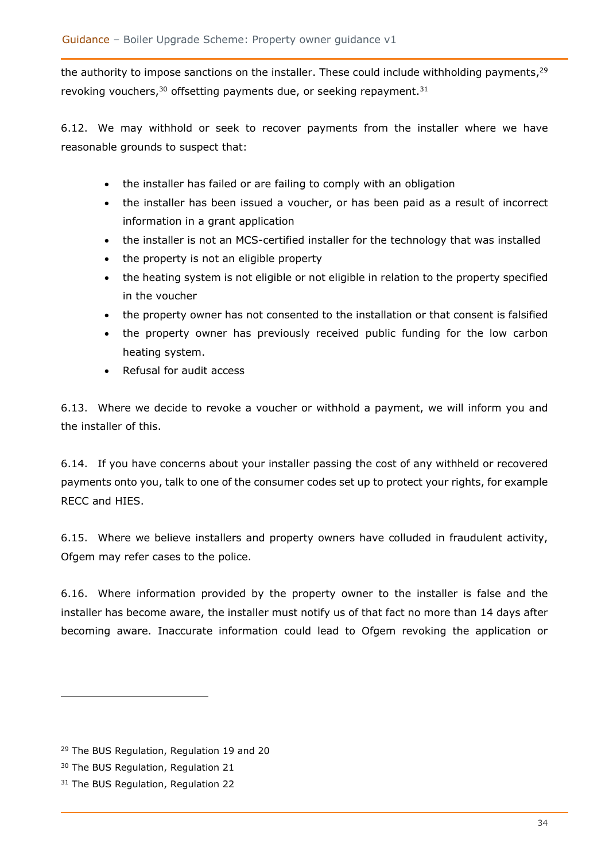the authority to impose sanctions on the installer. These could include withholding payments,<sup>29</sup> revoking vouchers,  $30$  offsetting payments due, or seeking repayment.  $31$ 

6.12. We may withhold or seek to recover payments from the installer where we have reasonable grounds to suspect that:

- the installer has failed or are failing to comply with an obligation
- the installer has been issued a voucher, or has been paid as a result of incorrect information in a grant application
- the installer is not an MCS-certified installer for the technology that was installed
- the property is not an eligible property
- the heating system is not eligible or not eligible in relation to the property specified in the voucher
- the property owner has not consented to the installation or that consent is falsified
- the property owner has previously received public funding for the low carbon heating system.
- Refusal for audit access

6.13. Where we decide to revoke a voucher or withhold a payment, we will inform you and the installer of this.

6.14. If you have concerns about your installer passing the cost of any withheld or recovered payments onto you, talk to one of the consumer codes set up to protect your rights, for example RECC and HIES.

6.15. Where we believe installers and property owners have colluded in fraudulent activity, Ofgem may refer cases to the police.

6.16. Where information provided by the property owner to the installer is false and the installer has become aware, the installer must notify us of that fact no more than 14 days after becoming aware. Inaccurate information could lead to Ofgem revoking the application or

<sup>&</sup>lt;sup>29</sup> The BUS Regulation, Regulation 19 and 20

<sup>30</sup> The BUS Regulation, Regulation 21

<sup>&</sup>lt;sup>31</sup> The BUS Regulation, Regulation 22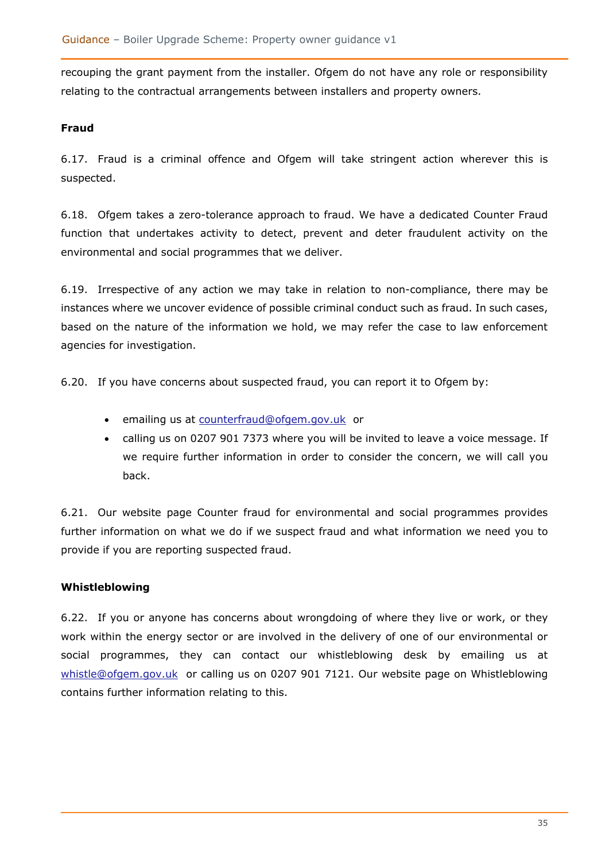recouping the grant payment from the installer. Ofgem do not have any role or responsibility relating to the contractual arrangements between installers and property owners.

#### <span id="page-34-0"></span>**Fraud**

6.17. Fraud is a criminal offence and Ofgem will take stringent action wherever this is suspected.

6.18. Ofgem takes a zero-tolerance approach to fraud. We have a dedicated Counter Fraud function that undertakes activity to detect, prevent and deter fraudulent activity on the environmental and social programmes that we deliver.

6.19. Irrespective of any action we may take in relation to non-compliance, there may be instances where we uncover evidence of possible criminal conduct such as fraud. In such cases, based on the nature of the information we hold, we may refer the case to law enforcement agencies for investigation.

6.20. If you have concerns about suspected fraud, you can report it to Ofgem by:

- emailing us at [counterfraud@ofgem.gov.uk](mailto:counterfraud@ofgem.gov.uk) or
- calling us on 0207 901 7373 where you will be invited to leave a voice message. If we require further information in order to consider the concern, we will call you back.

6.21. Our website page Counter fraud for environmental and social programmes provides further information on what we do if we suspect fraud and what information we need you to provide if you are reporting suspected fraud.

### <span id="page-34-1"></span>**Whistleblowing**

<span id="page-34-2"></span>6.22. If you or anyone has concerns about wrongdoing of where they live or work, or they work within the energy sector or are involved in the delivery of one of our environmental or social programmes, they can contact our whistleblowing desk by emailing us at [whistle@ofgem.gov.uk](mailto:whistle@ofgem.gov.uk) or calling us on 0207 901 7121. Our website page on Whistleblowing contains further information relating to this.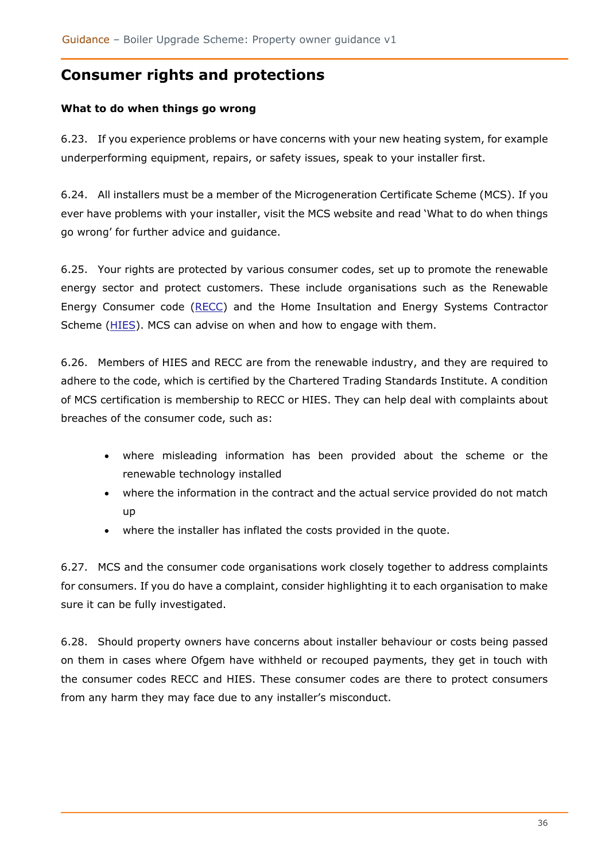# **Consumer rights and protections**

### <span id="page-35-0"></span>**What to do when things go wrong**

6.23. If you experience problems or have concerns with your new heating system, for example underperforming equipment, repairs, or safety issues, speak to your installer first.

6.24. All installers must be a member of the Microgeneration Certificate Scheme (MCS). If you ever have problems with your installer, visit the MCS website and read 'What to do when things go wrong' for further advice and guidance.

6.25. Your rights are protected by various consumer codes, set up to promote the renewable energy sector and protect customers. These include organisations such as the Renewable Energy Consumer code [\(RECC\)](https://www.recc.org.uk/) and the Home Insultation and Energy Systems Contractor Scheme [\(HIES\)](https://www.hiesscheme.org.uk/). MCS can advise on when and how to engage with them.

6.26. Members of HIES and RECC are from the renewable industry, and they are required to adhere to the code, which is certified by the Chartered Trading Standards Institute. A condition of MCS certification is membership to RECC or HIES. They can help deal with complaints about breaches of the consumer code, such as:

- where misleading information has been provided about the scheme or the renewable technology installed
- where the information in the contract and the actual service provided do not match up
- where the installer has inflated the costs provided in the quote.

6.27. MCS and the consumer code organisations work closely together to address complaints for consumers. If you do have a complaint, consider highlighting it to each organisation to make sure it can be fully investigated.

<span id="page-35-1"></span>6.28. Should property owners have concerns about installer behaviour or costs being passed on them in cases where Ofgem have withheld or recouped payments, they get in touch with the consumer codes RECC and HIES. These consumer codes are there to protect consumers from any harm they may face due to any installer's misconduct.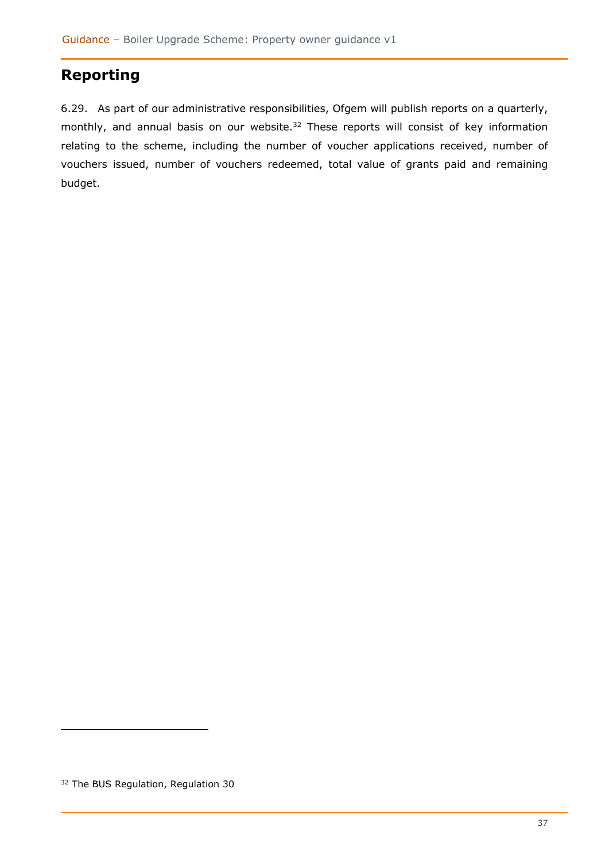# **Reporting**

6.29. As part of our administrative responsibilities, Ofgem will publish reports on a quarterly, monthly, and annual basis on our website.<sup>32</sup> These reports will consist of key information relating to the scheme, including the number of voucher applications received, number of vouchers issued, number of vouchers redeemed, total value of grants paid and remaining budget.

<sup>&</sup>lt;sup>32</sup> The BUS Regulation, Regulation 30